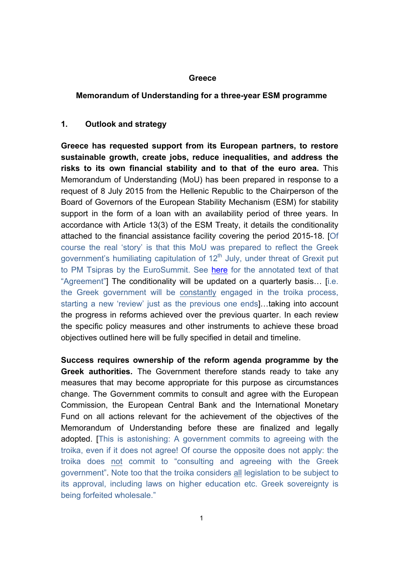#### **Greece**

#### **Memorandum of Understanding for a three-year ESM programme**

#### **1. Outlook and strategy**

**Greece has requested support from its European partners, to restore sustainable growth, create jobs, reduce inequalities, and address the risks to its own financial stability and to that of the euro area.** This Memorandum of Understanding (MoU) has been prepared in response to a request of 8 July 2015 from the Hellenic Republic to the Chairperson of the Board of Governors of the European Stability Mechanism (ESM) for stability support in the form of a loan with an availability period of three years. In accordance with Article 13(3) of the ESM Treaty, it details the conditionality attached to the financial assistance facility covering the period 2015-18. [Of course the real 'story' is that this MoU was prepared to reflect the Greek government's humiliating capitulation of  $12<sup>th</sup>$  July, under threat of Grexit put to PM Tsipras by the EuroSummit. See here for the annotated text of that "Agreement"] The conditionality will be updated on a quarterly basis… [i.e. the Greek government will be constantly engaged in the troika process, starting a new 'review' just as the previous one ends]…taking into account the progress in reforms achieved over the previous quarter. In each review the specific policy measures and other instruments to achieve these broad objectives outlined here will be fully specified in detail and timeline.

**Success requires ownership of the reform agenda programme by the Greek authorities.** The Government therefore stands ready to take any measures that may become appropriate for this purpose as circumstances change. The Government commits to consult and agree with the European Commission, the European Central Bank and the International Monetary Fund on all actions relevant for the achievement of the objectives of the Memorandum of Understanding before these are finalized and legally adopted. [This is astonishing: A government commits to agreeing with the troika, even if it does not agree! Of course the opposite does not apply: the troika does not commit to "consulting and agreeing with the Greek government". Note too that the troika considers all legislation to be subject to its approval, including laws on higher education etc. Greek sovereignty is being forfeited wholesale."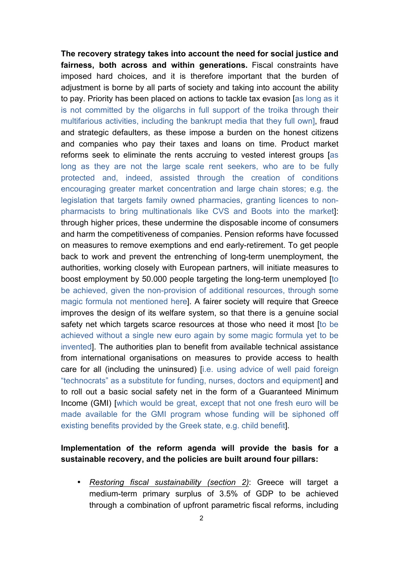**The recovery strategy takes into account the need for social justice and fairness, both across and within generations.** Fiscal constraints have imposed hard choices, and it is therefore important that the burden of adjustment is borne by all parts of society and taking into account the ability to pay. Priority has been placed on actions to tackle tax evasion [as long as it is not committed by the oligarchs in full support of the troika through their multifarious activities, including the bankrupt media that they full own], fraud and strategic defaulters, as these impose a burden on the honest citizens and companies who pay their taxes and loans on time. Product market reforms seek to eliminate the rents accruing to vested interest groups [as long as they are not the large scale rent seekers, who are to be fully protected and, indeed, assisted through the creation of conditions encouraging greater market concentration and large chain stores; e.g. the legislation that targets family owned pharmacies, granting licences to nonpharmacists to bring multinationals like CVS and Boots into the market]: through higher prices, these undermine the disposable income of consumers and harm the competitiveness of companies. Pension reforms have focussed on measures to remove exemptions and end early-retirement. To get people back to work and prevent the entrenching of long-term unemployment, the authorities, working closely with European partners, will initiate measures to boost employment by 50.000 people targeting the long-term unemployed [to be achieved, given the non-provision of additional resources, through some magic formula not mentioned here]. A fairer society will require that Greece improves the design of its welfare system, so that there is a genuine social safety net which targets scarce resources at those who need it most [to be achieved without a single new euro again by some magic formula yet to be invented]. The authorities plan to benefit from available technical assistance from international organisations on measures to provide access to health care for all (including the uninsured) [i.e. using advice of well paid foreign "technocrats" as a substitute for funding, nurses, doctors and equipment] and to roll out a basic social safety net in the form of a Guaranteed Minimum Income (GMI) [which would be great, except that not one fresh euro will be made available for the GMI program whose funding will be siphoned off existing benefits provided by the Greek state, e.g. child benefit].

## **Implementation of the reform agenda will provide the basis for a sustainable recovery, and the policies are built around four pillars:**

• *Restoring fiscal sustainability (section 2)*: Greece will target a medium-term primary surplus of 3.5% of GDP to be achieved through a combination of upfront parametric fiscal reforms, including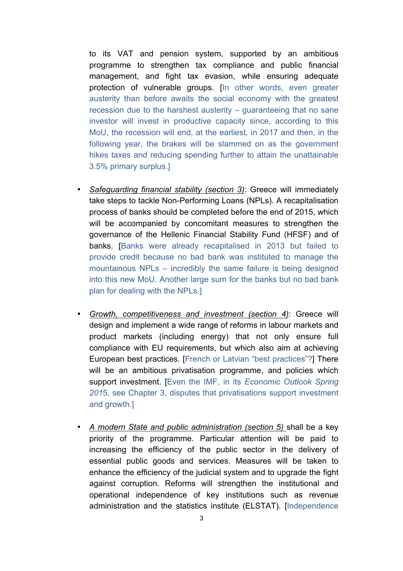to its VAT and pension system, supported by an ambitious programme to strengthen tax compliance and public financial management, and fight tax evasion, while ensuring adequate protection of vulnerable groups. [In other words, even greater austerity than before awaits the social economy with the greatest recession due to the harshest austerity – guaranteeing that no sane investor will invest in productive capacity since, according to this MoU, the recession will end, at the earliest, in 2017 and then, in the following year, the brakes will be slammed on as the government hikes taxes and reducing spending further to attain the unattainable 3.5% primary surplus.]

- *Safeguarding financial stability (section 3)*: Greece will immediately take steps to tackle Non-Performing Loans (NPLs). A recapitalisation process of banks should be completed before the end of 2015, which will be accompanied by concomitant measures to strengthen the governance of the Hellenic Financial Stability Fund (HFSF) and of banks. [Banks were already recapitalised in 2013 but failed to provide credit because no bad bank was instituted to manage the mountainous NPLs – incredibly the same failure is being designed into this new MoU. Another large sum for the banks but no bad bank plan for dealing with the NPLs.]
- *Growth, competitiveness and investment (section 4)*: Greece will design and implement a wide range of reforms in labour markets and product markets (including energy) that not only ensure full compliance with EU requirements, but which also aim at achieving European best practices. [French or Latvian "best practices"?] There will be an ambitious privatisation programme, and policies which support investment. [Even the IMF, in its *Economic Outlook Spring 201*5, see Chapter 3, disputes that privatisations support investment and growth.]
- *A modern State and public administration (section 5)* shall be a key priority of the programme. Particular attention will be paid to increasing the efficiency of the public sector in the delivery of essential public goods and services. Measures will be taken to enhance the efficiency of the judicial system and to upgrade the fight against corruption. Reforms will strengthen the institutional and operational independence of key institutions such as revenue administration and the statistics institute (ELSTAT). [Independence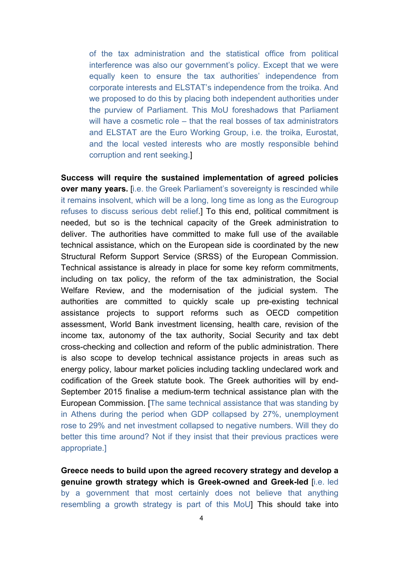of the tax administration and the statistical office from political interference was also our government's policy. Except that we were equally keen to ensure the tax authorities' independence from corporate interests and ELSTAT's independence from the troika. And we proposed to do this by placing both independent authorities under the purview of Parliament. This MoU foreshadows that Parliament will have a cosmetic role – that the real bosses of tax administrators and ELSTAT are the Euro Working Group, i.e. the troika, Eurostat, and the local vested interests who are mostly responsible behind corruption and rent seeking.]

**Success will require the sustained implementation of agreed policies over many years.** [i.e. the Greek Parliament's sovereignty is rescinded while it remains insolvent, which will be a long, long time as long as the Eurogroup refuses to discuss serious debt relief.] To this end, political commitment is needed, but so is the technical capacity of the Greek administration to deliver. The authorities have committed to make full use of the available technical assistance, which on the European side is coordinated by the new Structural Reform Support Service (SRSS) of the European Commission. Technical assistance is already in place for some key reform commitments, including on tax policy, the reform of the tax administration, the Social Welfare Review, and the modernisation of the judicial system. The authorities are committed to quickly scale up pre-existing technical assistance projects to support reforms such as OECD competition assessment, World Bank investment licensing, health care, revision of the income tax, autonomy of the tax authority, Social Security and tax debt cross-checking and collection and reform of the public administration. There is also scope to develop technical assistance projects in areas such as energy policy, labour market policies including tackling undeclared work and codification of the Greek statute book. The Greek authorities will by end-September 2015 finalise a medium-term technical assistance plan with the European Commission. [The same technical assistance that was standing by in Athens during the period when GDP collapsed by 27%, unemployment rose to 29% and net investment collapsed to negative numbers. Will they do better this time around? Not if they insist that their previous practices were appropriate.]

**Greece needs to build upon the agreed recovery strategy and develop a genuine growth strategy which is Greek-owned and Greek-led** [i.e. led by a government that most certainly does not believe that anything resembling a growth strategy is part of this MoU] This should take into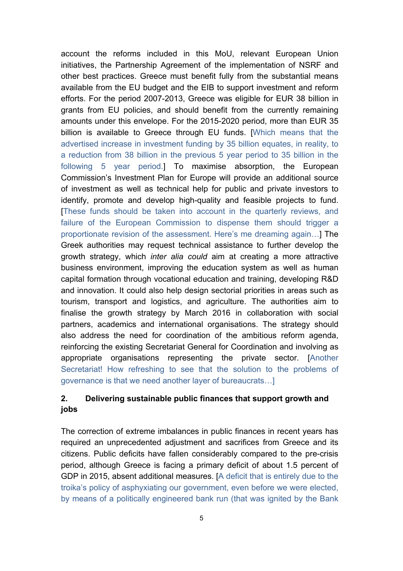account the reforms included in this MoU, relevant European Union initiatives, the Partnership Agreement of the implementation of NSRF and other best practices. Greece must benefit fully from the substantial means available from the EU budget and the EIB to support investment and reform efforts. For the period 2007-2013, Greece was eligible for EUR 38 billion in grants from EU policies, and should benefit from the currently remaining amounts under this envelope. For the 2015-2020 period, more than EUR 35 billion is available to Greece through EU funds. [Which means that the advertised increase in investment funding by 35 billion equates, in reality, to a reduction from 38 billion in the previous 5 year period to 35 billion in the following 5 year period.] To maximise absorption, the European Commission's Investment Plan for Europe will provide an additional source of investment as well as technical help for public and private investors to identify, promote and develop high-quality and feasible projects to fund. [These funds should be taken into account in the quarterly reviews, and failure of the European Commission to dispense them should trigger a proportionate revision of the assessment. Here's me dreaming again…] The Greek authorities may request technical assistance to further develop the growth strategy, which *inter alia could* aim at creating a more attractive business environment, improving the education system as well as human capital formation through vocational education and training, developing R&D and innovation. It could also help design sectorial priorities in areas such as tourism, transport and logistics, and agriculture. The authorities aim to finalise the growth strategy by March 2016 in collaboration with social partners, academics and international organisations. The strategy should also address the need for coordination of the ambitious reform agenda, reinforcing the existing Secretariat General for Coordination and involving as appropriate organisations representing the private sector. [Another Secretariat! How refreshing to see that the solution to the problems of governance is that we need another layer of bureaucrats…]

# **2. Delivering sustainable public finances that support growth and jobs**

The correction of extreme imbalances in public finances in recent years has required an unprecedented adjustment and sacrifices from Greece and its citizens. Public deficits have fallen considerably compared to the pre-crisis period, although Greece is facing a primary deficit of about 1.5 percent of GDP in 2015, absent additional measures. [A deficit that is entirely due to the troika's policy of asphyxiating our government, even before we were elected, by means of a politically engineered bank run (that was ignited by the Bank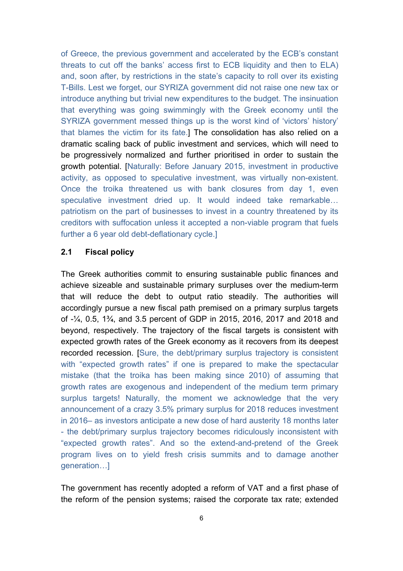of Greece, the previous government and accelerated by the ECB's constant threats to cut off the banks' access first to ECB liquidity and then to ELA) and, soon after, by restrictions in the state's capacity to roll over its existing T-Bills. Lest we forget, our SYRIZA government did not raise one new tax or introduce anything but trivial new expenditures to the budget. The insinuation that everything was going swimmingly with the Greek economy until the SYRIZA government messed things up is the worst kind of 'victors' history' that blames the victim for its fate.] The consolidation has also relied on a dramatic scaling back of public investment and services, which will need to be progressively normalized and further prioritised in order to sustain the growth potential. [Naturally: Before January 2015, investment in productive activity, as opposed to speculative investment, was virtually non-existent. Once the troika threatened us with bank closures from day 1, even speculative investment dried up. It would indeed take remarkable… patriotism on the part of businesses to invest in a country threatened by its creditors with suffocation unless it accepted a non-viable program that fuels further a 6 year old debt-deflationary cycle.]

### **2.1 Fiscal policy**

The Greek authorities commit to ensuring sustainable public finances and achieve sizeable and sustainable primary surpluses over the medium-term that will reduce the debt to output ratio steadily. The authorities will accordingly pursue a new fiscal path premised on a primary surplus targets of -¼, 0.5, 1¾, and 3.5 percent of GDP in 2015, 2016, 2017 and 2018 and beyond, respectively. The trajectory of the fiscal targets is consistent with expected growth rates of the Greek economy as it recovers from its deepest recorded recession. [Sure, the debt/primary surplus trajectory is consistent with "expected growth rates" if one is prepared to make the spectacular mistake (that the troika has been making since 2010) of assuming that growth rates are exogenous and independent of the medium term primary surplus targets! Naturally, the moment we acknowledge that the very announcement of a crazy 3.5% primary surplus for 2018 reduces investment in 2016– as investors anticipate a new dose of hard austerity 18 months later - the debt/primary surplus trajectory becomes ridiculously inconsistent with "expected growth rates". And so the extend-and-pretend of the Greek program lives on to yield fresh crisis summits and to damage another generation…]

The government has recently adopted a reform of VAT and a first phase of the reform of the pension systems; raised the corporate tax rate; extended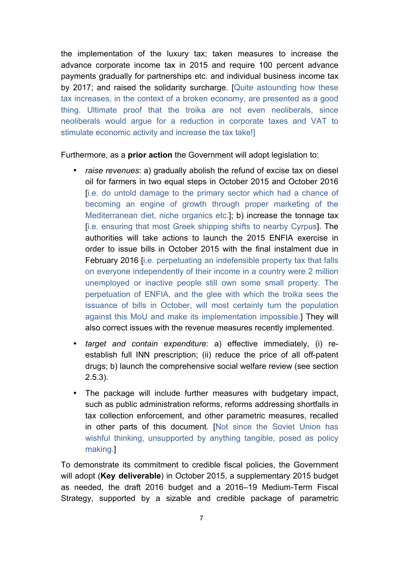the implementation of the luxury tax; taken measures to increase the advance corporate income tax in 2015 and require 100 percent advance payments gradually for partnerships etc. and individual business income tax by 2017; and raised the solidarity surcharge. [Quite astounding how these tax increases, in the context of a broken economy, are presented as a good thing. Ultimate proof that the troika are not even neoliberals, since neoliberals would argue for a reduction in corporate taxes and VAT to stimulate economic activity and increase the tax take!]

Furthermore, as a **prior action** the Government will adopt legislation to:

- *raise revenues*: a) gradually abolish the refund of excise tax on diesel oil for farmers in two equal steps in October 2015 and October 2016 [i.e. do untold damage to the primary sector which had a chance of becoming an engine of growth through proper marketing of the Mediterranean diet, niche organics etc.]; b) increase the tonnage tax [i.e. ensuring that most Greek shipping shifts to nearby Cyrpus]. The authorities will take actions to launch the 2015 ENFIA exercise in order to issue bills in October 2015 with the final instalment due in February 2016 [i.e. perpetuating an indefensible property tax that falls on everyone independently of their income in a country were 2 million unemployed or inactive people still own some small property. The perpetuation of ENFIA, and the glee with which the troika sees the issuance of bills in October, will most certainly turn the population against this MoU and make its implementation impossible.] They will also correct issues with the revenue measures recently implemented.
- *target and contain expenditure*: a) effective immediately, (i) reestablish full INN prescription; (ii) reduce the price of all off-patent drugs; b) launch the comprehensive social welfare review (see section 2.5.3).
- The package will include further measures with budgetary impact, such as public administration reforms, reforms addressing shortfalls in tax collection enforcement, and other parametric measures, recalled in other parts of this document. [Not since the Soviet Union has wishful thinking, unsupported by anything tangible, posed as policy making.]

To demonstrate its commitment to credible fiscal policies, the Government will adopt (**Key deliverable**) in October 2015, a supplementary 2015 budget as needed, the draft 2016 budget and a 2016–19 Medium-Term Fiscal Strategy, supported by a sizable and credible package of parametric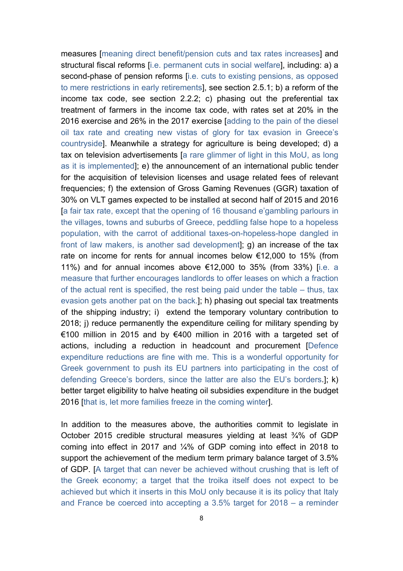measures [meaning direct benefit/pension cuts and tax rates increases] and structural fiscal reforms [i.e. permanent cuts in social welfare], including: a) a second-phase of pension reforms [i.e. cuts to existing pensions, as opposed to mere restrictions in early retirements], see section 2.5.1; b) a reform of the income tax code, see section 2.2.2; c) phasing out the preferential tax treatment of farmers in the income tax code, with rates set at 20% in the 2016 exercise and 26% in the 2017 exercise [adding to the pain of the diesel oil tax rate and creating new vistas of glory for tax evasion in Greece's countryside]. Meanwhile a strategy for agriculture is being developed; d) a tax on television advertisements [a rare glimmer of light in this MoU, as long as it is implemented]; e) the announcement of an international public tender for the acquisition of television licenses and usage related fees of relevant frequencies; f) the extension of Gross Gaming Revenues (GGR) taxation of 30% on VLT games expected to be installed at second half of 2015 and 2016 [a fair tax rate, except that the opening of 16 thousand e'gambling parlours in the villages, towns and suburbs of Greece, peddling false hope to a hopeless population, with the carrot of additional taxes-on-hopeless-hope dangled in front of law makers, is another sad development]; g) an increase of the tax rate on income for rents for annual incomes below €12,000 to 15% (from 11%) and for annual incomes above €12,000 to 35% (from 33%) [i.e. a measure that further encourages landlords to offer leases on which a fraction of the actual rent is specified, the rest being paid under the table – thus, tax evasion gets another pat on the back.]; h) phasing out special tax treatments of the shipping industry; i) extend the temporary voluntary contribution to 2018; j) reduce permanently the expenditure ceiling for military spending by €100 million in 2015 and by €400 million in 2016 with a targeted set of actions, including a reduction in headcount and procurement [Defence expenditure reductions are fine with me. This is a wonderful opportunity for Greek government to push its EU partners into participating in the cost of defending Greece's borders, since the latter are also the EU's borders.]; k) better target eligibility to halve heating oil subsidies expenditure in the budget 2016 [that is, let more families freeze in the coming winter].

In addition to the measures above, the authorities commit to legislate in October 2015 credible structural measures yielding at least ¾% of GDP coming into effect in 2017 and ¼% of GDP coming into effect in 2018 to support the achievement of the medium term primary balance target of 3.5% of GDP. [A target that can never be achieved without crushing that is left of the Greek economy; a target that the troika itself does not expect to be achieved but which it inserts in this MoU only because it is its policy that Italy and France be coerced into accepting a 3.5% target for 2018 – a reminder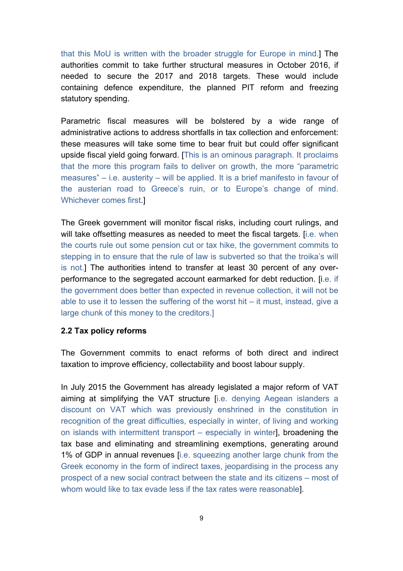that this MoU is written with the broader struggle for Europe in mind.] The authorities commit to take further structural measures in October 2016, if needed to secure the 2017 and 2018 targets. These would include containing defence expenditure, the planned PIT reform and freezing statutory spending.

Parametric fiscal measures will be bolstered by a wide range of administrative actions to address shortfalls in tax collection and enforcement: these measures will take some time to bear fruit but could offer significant upside fiscal yield going forward. [This is an ominous paragraph. It proclaims that the more this program fails to deliver on growth, the more "parametric measures" – i.e. austerity – will be applied. It is a brief manifesto in favour of the austerian road to Greece's ruin, or to Europe's change of mind. Whichever comes first.]

The Greek government will monitor fiscal risks, including court rulings, and will take offsetting measures as needed to meet the fiscal targets. [i.e. when the courts rule out some pension cut or tax hike, the government commits to stepping in to ensure that the rule of law is subverted so that the troika's will is not.] The authorities intend to transfer at least 30 percent of any overperformance to the segregated account earmarked for debt reduction. [i.e. if the government does better than expected in revenue collection, it will not be able to use it to lessen the suffering of the worst hit – it must, instead, give a large chunk of this money to the creditors.]

#### **2.2 Tax policy reforms**

The Government commits to enact reforms of both direct and indirect taxation to improve efficiency, collectability and boost labour supply.

In July 2015 the Government has already legislated a major reform of VAT aiming at simplifying the VAT structure [i.e. denying Aegean islanders a discount on VAT which was previously enshrined in the constitution in recognition of the great difficulties, especially in winter, of living and working on islands with intermittent transport – especially in winter], broadening the tax base and eliminating and streamlining exemptions, generating around 1% of GDP in annual revenues [i.e. squeezing another large chunk from the Greek economy in the form of indirect taxes, jeopardising in the process any prospect of a new social contract between the state and its citizens – most of whom would like to tax evade less if the tax rates were reasonable].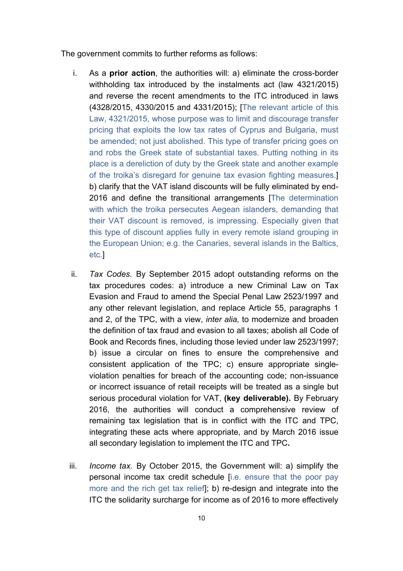The government commits to further reforms as follows:

- i. As a **prior action**, the authorities will: a) eliminate the cross-border withholding tax introduced by the instalments act (law 4321/2015) and reverse the recent amendments to the ITC introduced in laws (4328/2015, 4330/2015 and 4331/2015); [The relevant article of this Law, 4321/2015, whose purpose was to limit and discourage transfer pricing that exploits the low tax rates of Cyprus and Bulgaria, must be amended; not just abolished. This type of transfer pricing goes on and robs the Greek state of substantial taxes. Putting nothing in its place is a dereliction of duty by the Greek state and another example of the troika's disregard for genuine tax evasion fighting measures.] b) clarify that the VAT island discounts will be fully eliminated by end-2016 and define the transitional arrangements [The determination with which the troika persecutes Aegean islanders, demanding that their VAT discount is removed, is impressing. Especially given that this type of discount applies fully in every remote island grouping in the European Union; e.g. the Canaries, several islands in the Baltics, etc.]
- ii. *Tax Codes.* By September 2015 adopt outstanding reforms on the tax procedures codes: a) introduce a new Criminal Law on Tax Evasion and Fraud to amend the Special Penal Law 2523/1997 and any other relevant legislation, and replace Article 55, paragraphs 1 and 2, of the TPC, with a view, *inter alia,* to modernize and broaden the definition of tax fraud and evasion to all taxes; abolish all Code of Book and Records fines, including those levied under law 2523/1997; b) issue a circular on fines to ensure the comprehensive and consistent application of the TPC; c) ensure appropriate singleviolation penalties for breach of the accounting code; non-issuance or incorrect issuance of retail receipts will be treated as a single but serious procedural violation for VAT, **(key deliverable).** By February 2016, the authorities will conduct a comprehensive review of remaining tax legislation that is in conflict with the ITC and TPC, integrating these acts where appropriate, and by March 2016 issue all secondary legislation to implement the ITC and TPC**.**
- iii. *Income tax.* By October 2015, the Government will: a) simplify the personal income tax credit schedule [i.e. ensure that the poor pay more and the rich get tax relief]; b) re-design and integrate into the ITC the solidarity surcharge for income as of 2016 to more effectively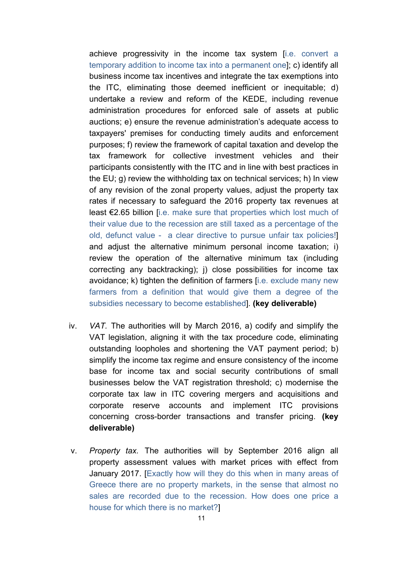achieve progressivity in the income tax system [i.e. convert a temporary addition to income tax into a permanent one]; c) identify all business income tax incentives and integrate the tax exemptions into the ITC, eliminating those deemed inefficient or inequitable; d) undertake a review and reform of the KEDE, including revenue administration procedures for enforced sale of assets at public auctions; e) ensure the revenue administration's adequate access to taxpayers' premises for conducting timely audits and enforcement purposes; f) review the framework of capital taxation and develop the tax framework for collective investment vehicles and their participants consistently with the ITC and in line with best practices in the EU; g) review the withholding tax on technical services; h) In view of any revision of the zonal property values, adjust the property tax rates if necessary to safeguard the 2016 property tax revenues at least €2.65 billion [i.e. make sure that properties which lost much of their value due to the recession are still taxed as a percentage of the old, defunct value - a clear directive to pursue unfair tax policies!] and adjust the alternative minimum personal income taxation; i) review the operation of the alternative minimum tax (including correcting any backtracking); j) close possibilities for income tax avoidance; k) tighten the definition of farmers [i.e. exclude many new farmers from a definition that would give them a degree of the subsidies necessary to become established]. **(key deliverable)**

- iv. *VAT.* The authorities will by March 2016, a) codify and simplify the VAT legislation, aligning it with the tax procedure code, eliminating outstanding loopholes and shortening the VAT payment period; b) simplify the income tax regime and ensure consistency of the income base for income tax and social security contributions of small businesses below the VAT registration threshold; c) modernise the corporate tax law in ITC covering mergers and acquisitions and corporate reserve accounts and implement ITC provisions concerning cross-border transactions and transfer pricing. **(key deliverable)**
- v. *Property tax.* The authorities will by September 2016 align all property assessment values with market prices with effect from January 2017. [Exactly how will they do this when in many areas of Greece there are no property markets, in the sense that almost no sales are recorded due to the recession. How does one price a house for which there is no market?]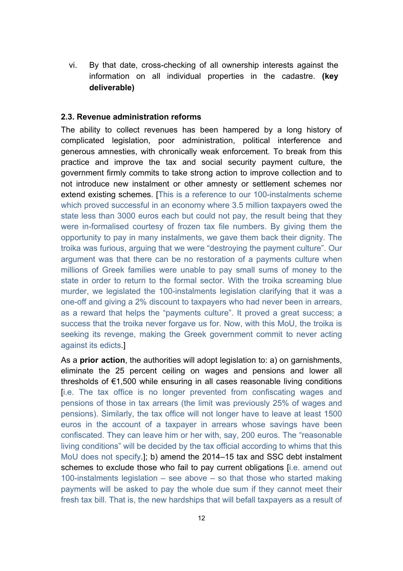vi. By that date, cross-checking of all ownership interests against the information on all individual properties in the cadastre. **(key deliverable)**

#### **2.3. Revenue administration reforms**

The ability to collect revenues has been hampered by a long history of complicated legislation, poor administration, political interference and generous amnesties, with chronically weak enforcement. To break from this practice and improve the tax and social security payment culture, the government firmly commits to take strong action to improve collection and to not introduce new instalment or other amnesty or settlement schemes nor extend existing schemes. [This is a reference to our 100-instalments scheme which proved successful in an economy where 3.5 million taxpayers owed the state less than 3000 euros each but could not pay, the result being that they were in-formalised courtesy of frozen tax file numbers. By giving them the opportunity to pay in many instalments, we gave them back their dignity. The troika was furious, arguing that we were "destroying the payment culture". Our argument was that there can be no restoration of a payments culture when millions of Greek families were unable to pay small sums of money to the state in order to return to the formal sector. With the troika screaming blue murder, we legislated the 100-instalments legislation clarifying that it was a one-off and giving a 2% discount to taxpayers who had never been in arrears, as a reward that helps the "payments culture". It proved a great success; a success that the troika never forgave us for. Now, with this MoU, the troika is seeking its revenge, making the Greek government commit to never acting against its edicts.]

As a **prior action**, the authorities will adopt legislation to: a) on garnishments, eliminate the 25 percent ceiling on wages and pensions and lower all thresholds of €1,500 while ensuring in all cases reasonable living conditions [i.e. The tax office is no longer prevented from confiscating wages and pensions of those in tax arrears (the limit was previously 25% of wages and pensions). Similarly, the tax office will not longer have to leave at least 1500 euros in the account of a taxpayer in arrears whose savings have been confiscated. They can leave him or her with, say, 200 euros. The "reasonable living conditions" will be decided by the tax official according to whims that this MoU does not specify.]; b) amend the 2014–15 tax and SSC debt instalment schemes to exclude those who fail to pay current obligations [i.e. amend out 100-instalments legislation – see above – so that those who started making payments will be asked to pay the whole due sum if they cannot meet their fresh tax bill. That is, the new hardships that will befall taxpayers as a result of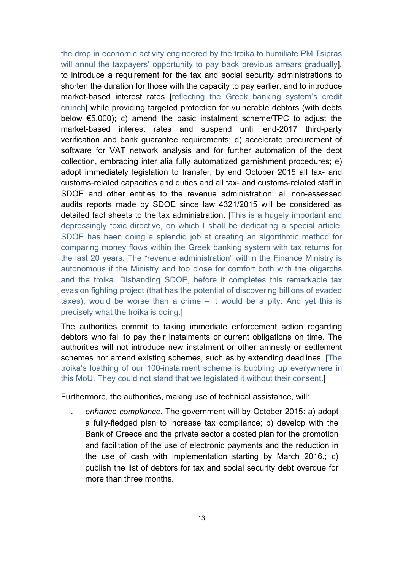the drop in economic activity engineered by the troika to humiliate PM Tsipras will annul the taxpayers' opportunity to pay back previous arrears gradually]. to introduce a requirement for the tax and social security administrations to shorten the duration for those with the capacity to pay earlier, and to introduce market-based interest rates [reflecting the Greek banking system's credit crunch] while providing targeted protection for vulnerable debtors (with debts below €5,000); c) amend the basic instalment scheme/TPC to adjust the market-based interest rates and suspend until end-2017 third-party verification and bank guarantee requirements; d) accelerate procurement of software for VAT network analysis and for further automation of the debt collection, embracing inter alia fully automatized garnishment procedures; e) adopt immediately legislation to transfer, by end October 2015 all tax- and customs-related capacities and duties and all tax- and customs-related staff in SDOE and other entities to the revenue administration; all non-assessed audits reports made by SDOE since law 4321/2015 will be considered as detailed fact sheets to the tax administration. [This is a hugely important and depressingly toxic directive, on which I shall be dedicating a special article. SDOE has been doing a splendid job at creating an algorithmic method for comparing money flows within the Greek banking system with tax returns for the last 20 years. The "revenue administration" within the Finance Ministry is autonomous if the Ministry and too close for comfort both with the oligarchs and the troika. Disbanding SDOE, before it completes this remarkable tax evasion fighting project (that has the potential of discovering billions of evaded taxes), would be worse than a crime – it would be a pity. And yet this is precisely what the troika is doing.]

The authorities commit to taking immediate enforcement action regarding debtors who fail to pay their instalments or current obligations on time. The authorities will not introduce new instalment or other amnesty or settlement schemes nor amend existing schemes, such as by extending deadlines. [The troika's loathing of our 100-instalment scheme is bubbling up everywhere in this MoU. They could not stand that we legislated it without their consent.]

Furthermore, the authorities, making use of technical assistance, will:

i. *enhance compliance.* The government will by October 2015: a) adopt a fully-fledged plan to increase tax compliance; b) develop with the Bank of Greece and the private sector a costed plan for the promotion and facilitation of the use of electronic payments and the reduction in the use of cash with implementation starting by March 2016.; c) publish the list of debtors for tax and social security debt overdue for more than three months.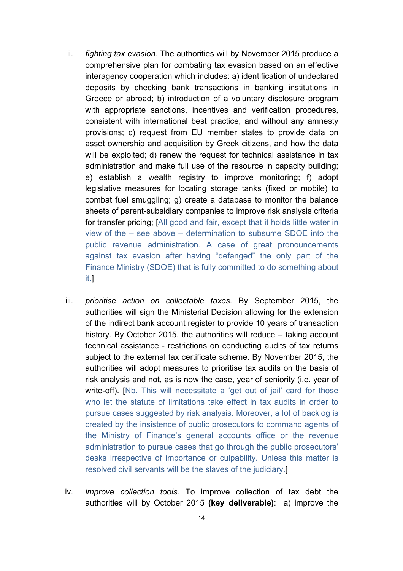- ii. *fighting tax evasion.* The authorities will by November 2015 produce a comprehensive plan for combating tax evasion based on an effective interagency cooperation which includes: a) identification of undeclared deposits by checking bank transactions in banking institutions in Greece or abroad; b) introduction of a voluntary disclosure program with appropriate sanctions, incentives and verification procedures, consistent with international best practice, and without any amnesty provisions; c) request from EU member states to provide data on asset ownership and acquisition by Greek citizens, and how the data will be exploited; d) renew the request for technical assistance in tax administration and make full use of the resource in capacity building; e) establish a wealth registry to improve monitoring; f) adopt legislative measures for locating storage tanks (fixed or mobile) to combat fuel smuggling; g) create a database to monitor the balance sheets of parent-subsidiary companies to improve risk analysis criteria for transfer pricing; [All good and fair, except that it holds little water in view of the – see above – determination to subsume SDOE into the public revenue administration. A case of great pronouncements against tax evasion after having "defanged" the only part of the Finance Ministry (SDOE) that is fully committed to do something about it.]
- iii. *prioritise action on collectable taxes.* By September 2015, the authorities will sign the Ministerial Decision allowing for the extension of the indirect bank account register to provide 10 years of transaction history. By October 2015, the authorities will reduce – taking account technical assistance - restrictions on conducting audits of tax returns subject to the external tax certificate scheme. By November 2015, the authorities will adopt measures to prioritise tax audits on the basis of risk analysis and not, as is now the case, year of seniority (i.e. year of write-off). [Nb. This will necessitate a 'get out of jail' card for those who let the statute of limitations take effect in tax audits in order to pursue cases suggested by risk analysis. Moreover, a lot of backlog is created by the insistence of public prosecutors to command agents of the Ministry of Finance's general accounts office or the revenue administration to pursue cases that go through the public prosecutors' desks irrespective of importance or culpability. Unless this matter is resolved civil servants will be the slaves of the judiciary.]
- iv. *improve collection tools.* To improve collection of tax debt the authorities will by October 2015 **(key deliverable)**: a) improve the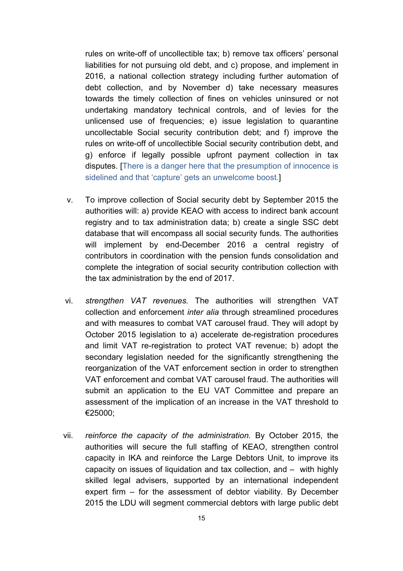rules on write-off of uncollectible tax; b) remove tax officers' personal liabilities for not pursuing old debt, and c) propose, and implement in 2016, a national collection strategy including further automation of debt collection, and by November d) take necessary measures towards the timely collection of fines on vehicles uninsured or not undertaking mandatory technical controls, and of levies for the unlicensed use of frequencies; e) issue legislation to quarantine uncollectable Social security contribution debt; and f) improve the rules on write-off of uncollectible Social security contribution debt, and g) enforce if legally possible upfront payment collection in tax disputes. [There is a danger here that the presumption of innocence is sidelined and that 'capture' gets an unwelcome boost.]

- v. To improve collection of Social security debt by September 2015 the authorities will: a) provide KEAO with access to indirect bank account registry and to tax administration data; b) create a single SSC debt database that will encompass all social security funds. The authorities will implement by end-December 2016 a central registry of contributors in coordination with the pension funds consolidation and complete the integration of social security contribution collection with the tax administration by the end of 2017.
- vi. *strengthen VAT revenues.* The authorities will strengthen VAT collection and enforcement *inter alia* through streamlined procedures and with measures to combat VAT carousel fraud. They will adopt by October 2015 legislation to a) accelerate de-registration procedures and limit VAT re-registration to protect VAT revenue; b) adopt the secondary legislation needed for the significantly strengthening the reorganization of the VAT enforcement section in order to strengthen VAT enforcement and combat VAT carousel fraud. The authorities will submit an application to the EU VAT Committee and prepare an assessment of the implication of an increase in the VAT threshold to €25000;
- vii. *reinforce the capacity of the administration.* By October 2015, the authorities will secure the full staffing of KEAO, strengthen control capacity in IKA and reinforce the Large Debtors Unit, to improve its capacity on issues of liquidation and tax collection, and – with highly skilled legal advisers, supported by an international independent expert firm – for the assessment of debtor viability. By December 2015 the LDU will segment commercial debtors with large public debt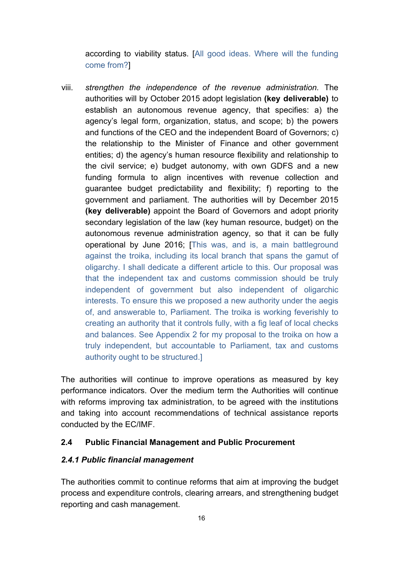according to viability status. [All good ideas. Where will the funding come from?]

viii. *strengthen the independence of the revenue administration.* The authorities will by October 2015 adopt legislation **(key deliverable)** to establish an autonomous revenue agency, that specifies: a) the agency's legal form, organization, status, and scope; b) the powers and functions of the CEO and the independent Board of Governors; c) the relationship to the Minister of Finance and other government entities; d) the agency's human resource flexibility and relationship to the civil service; e) budget autonomy, with own GDFS and a new funding formula to align incentives with revenue collection and guarantee budget predictability and flexibility; f) reporting to the government and parliament. The authorities will by December 2015 **(key deliverable)** appoint the Board of Governors and adopt priority secondary legislation of the law (key human resource, budget) on the autonomous revenue administration agency, so that it can be fully operational by June 2016; [This was, and is, a main battleground against the troika, including its local branch that spans the gamut of oligarchy. I shall dedicate a different article to this. Our proposal was that the independent tax and customs commission should be truly independent of government but also independent of oligarchic interests. To ensure this we proposed a new authority under the aegis of, and answerable to, Parliament. The troika is working feverishly to creating an authority that it controls fully, with a fig leaf of local checks and balances. See Appendix 2 for my proposal to the troika on how a truly independent, but accountable to Parliament, tax and customs authority ought to be structured.]

The authorities will continue to improve operations as measured by key performance indicators. Over the medium term the Authorities will continue with reforms improving tax administration, to be agreed with the institutions and taking into account recommendations of technical assistance reports conducted by the EC/IMF.

## **2.4 Public Financial Management and Public Procurement**

#### *2.4.1 Public financial management*

The authorities commit to continue reforms that aim at improving the budget process and expenditure controls, clearing arrears, and strengthening budget reporting and cash management.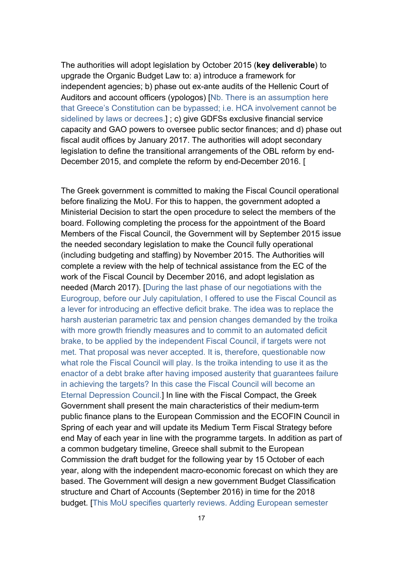The authorities will adopt legislation by October 2015 (**key deliverable**) to upgrade the Organic Budget Law to: a) introduce a framework for independent agencies; b) phase out ex-ante audits of the Hellenic Court of Auditors and account officers (ypologos) [Nb. There is an assumption here that Greece's Constitution can be bypassed; i.e. HCA involvement cannot be sidelined by laws or decrees.] ; c) give GDFSs exclusive financial service capacity and GAO powers to oversee public sector finances; and d) phase out fiscal audit offices by January 2017. The authorities will adopt secondary legislation to define the transitional arrangements of the OBL reform by end-December 2015, and complete the reform by end-December 2016. [

The Greek government is committed to making the Fiscal Council operational before finalizing the MoU. For this to happen, the government adopted a Ministerial Decision to start the open procedure to select the members of the board. Following completing the process for the appointment of the Board Members of the Fiscal Council, the Government will by September 2015 issue the needed secondary legislation to make the Council fully operational (including budgeting and staffing) by November 2015. The Authorities will complete a review with the help of technical assistance from the EC of the work of the Fiscal Council by December 2016, and adopt legislation as needed (March 2017). [During the last phase of our negotiations with the Eurogroup, before our July capitulation, I offered to use the Fiscal Council as a lever for introducing an effective deficit brake. The idea was to replace the harsh austerian parametric tax and pension changes demanded by the troika with more growth friendly measures and to commit to an automated deficit brake, to be applied by the independent Fiscal Council, if targets were not met. That proposal was never accepted. It is, therefore, questionable now what role the Fiscal Council will play. Is the troika intending to use it as the enactor of a debt brake after having imposed austerity that guarantees failure in achieving the targets? In this case the Fiscal Council will become an Eternal Depression Council.] In line with the Fiscal Compact, the Greek Government shall present the main characteristics of their medium-term public finance plans to the European Commission and the ECOFIN Council in Spring of each year and will update its Medium Term Fiscal Strategy before end May of each year in line with the programme targets. In addition as part of a common budgetary timeline, Greece shall submit to the European Commission the draft budget for the following year by 15 October of each year, along with the independent macro-economic forecast on which they are based. The Government will design a new government Budget Classification structure and Chart of Accounts (September 2016) in time for the 2018 budget. [This MoU specifies quarterly reviews. Adding European semester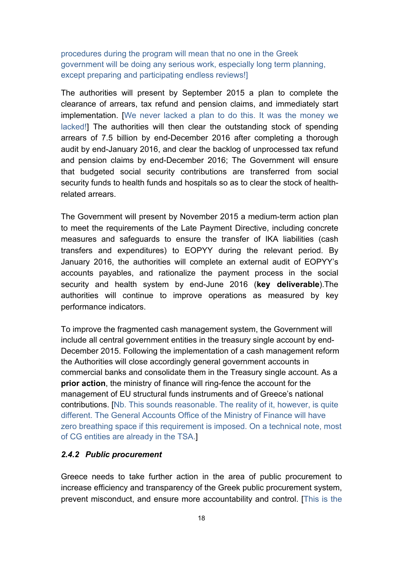procedures during the program will mean that no one in the Greek government will be doing any serious work, especially long term planning, except preparing and participating endless reviews!]

The authorities will present by September 2015 a plan to complete the clearance of arrears, tax refund and pension claims, and immediately start implementation. [We never lacked a plan to do this. It was the money we lacked!] The authorities will then clear the outstanding stock of spending arrears of 7.5 billion by end-December 2016 after completing a thorough audit by end-January 2016, and clear the backlog of unprocessed tax refund and pension claims by end-December 2016; The Government will ensure that budgeted social security contributions are transferred from social security funds to health funds and hospitals so as to clear the stock of healthrelated arrears.

The Government will present by November 2015 a medium-term action plan to meet the requirements of the Late Payment Directive, including concrete measures and safeguards to ensure the transfer of IKA liabilities (cash transfers and expenditures) to EOPYY during the relevant period. By January 2016, the authorities will complete an external audit of EOPYY's accounts payables, and rationalize the payment process in the social security and health system by end-June 2016 (**key deliverable**).The authorities will continue to improve operations as measured by key performance indicators.

To improve the fragmented cash management system, the Government will include all central government entities in the treasury single account by end-December 2015. Following the implementation of a cash management reform the Authorities will close accordingly general government accounts in commercial banks and consolidate them in the Treasury single account. As a **prior action**, the ministry of finance will ring-fence the account for the management of EU structural funds instruments and of Greece's national contributions. [Nb. This sounds reasonable. The reality of it, however, is quite different. The General Accounts Office of the Ministry of Finance will have zero breathing space if this requirement is imposed. On a technical note, most of CG entities are already in the TSA.]

#### *2.4.2 Public procurement*

Greece needs to take further action in the area of public procurement to increase efficiency and transparency of the Greek public procurement system, prevent misconduct, and ensure more accountability and control. [This is the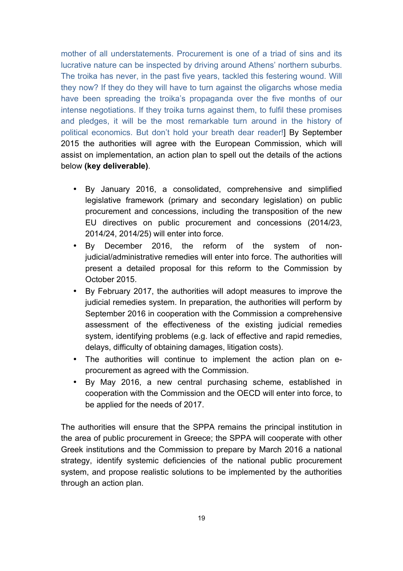mother of all understatements. Procurement is one of a triad of sins and its lucrative nature can be inspected by driving around Athens' northern suburbs. The troika has never, in the past five years, tackled this festering wound. Will they now? If they do they will have to turn against the oligarchs whose media have been spreading the troika's propaganda over the five months of our intense negotiations. If they troika turns against them, to fulfil these promises and pledges, it will be the most remarkable turn around in the history of political economics. But don't hold your breath dear reader!] By September 2015 the authorities will agree with the European Commission, which will assist on implementation, an action plan to spell out the details of the actions below **(key deliverable)**.

- By January 2016, a consolidated, comprehensive and simplified legislative framework (primary and secondary legislation) on public procurement and concessions, including the transposition of the new EU directives on public procurement and concessions (2014/23, 2014/24, 2014/25) will enter into force.
- By December 2016, the reform of the system of nonjudicial/administrative remedies will enter into force. The authorities will present a detailed proposal for this reform to the Commission by October 2015.
- By February 2017, the authorities will adopt measures to improve the judicial remedies system. In preparation, the authorities will perform by September 2016 in cooperation with the Commission a comprehensive assessment of the effectiveness of the existing judicial remedies system, identifying problems (e.g. lack of effective and rapid remedies, delays, difficulty of obtaining damages, litigation costs).
- The authorities will continue to implement the action plan on eprocurement as agreed with the Commission.
- By May 2016, a new central purchasing scheme, established in cooperation with the Commission and the OECD will enter into force, to be applied for the needs of 2017.

The authorities will ensure that the SPPA remains the principal institution in the area of public procurement in Greece; the SPPA will cooperate with other Greek institutions and the Commission to prepare by March 2016 a national strategy, identify systemic deficiencies of the national public procurement system, and propose realistic solutions to be implemented by the authorities through an action plan.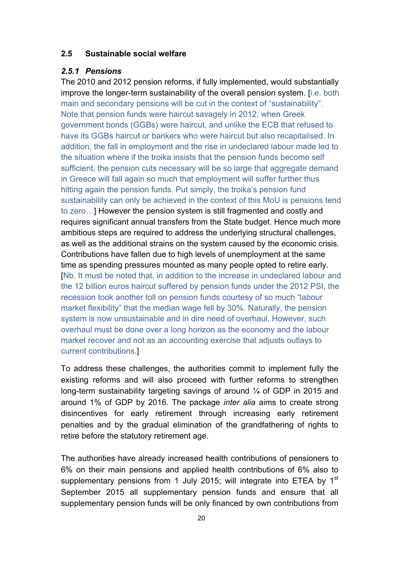### **2.5 Sustainable social welfare**

#### *2.5.1 Pensions*

The 2010 and 2012 pension reforms, if fully implemented, would substantially improve the longer-term sustainability of the overall pension system. [i.e. both main and secondary pensions will be cut in the context of "sustainability". Note that pension funds were haircut savagely in 2012, when Greek government bonds (GGBs) were haircut, and unlike the ECB that refused to have its GGBs haircut or bankers who were haircut but also recapitalised. In addition, the fall in employment and the rise in undeclared labour made led to the situation where if the troika insists that the pension funds become self sufficient, the pension cuts necessary will be so large that aggregate demand in Greece will fall again so much that employment will suffer further thus hitting again the pension funds. Put simply, the troika's pension fund sustainability can only be achieved in the context of this MoU is pensions tend to zero…] However the pension system is still fragmented and costly and requires significant annual transfers from the State budget. Hence much more ambitious steps are required to address the underlying structural challenges, as well as the additional strains on the system caused by the economic crisis. Contributions have fallen due to high levels of unemployment at the same time as spending pressures mounted as many people opted to retire early. [Nb. It must be noted that, in addition to the increase in undeclared labour and the 12 billion euros haircut suffered by pension funds under the 2012 PSI, the recession took another toll on pension funds courtesy of so much "labour market flexibility" that the median wage fell by 30%. Naturally, the pension system is now unsustainable and in dire need of overhaul. However, such overhaul must be done over a long horizon as the economy and the labour market recover and not as an accounting exercise that adjusts outlays to current contributions.]

To address these challenges, the authorities commit to implement fully the existing reforms and will also proceed with further reforms to strengthen long-term sustainability targeting savings of around  $\frac{1}{4}$  of GDP in 2015 and around 1% of GDP by 2016. The package *inter alia* aims to create strong disincentives for early retirement through increasing early retirement penalties and by the gradual elimination of the grandfathering of rights to retire before the statutory retirement age.

The authorities have already increased health contributions of pensioners to 6% on their main pensions and applied health contributions of 6% also to supplementary pensions from 1 July 2015; will integrate into ETEA by  $1<sup>st</sup>$ September 2015 all supplementary pension funds and ensure that all supplementary pension funds will be only financed by own contributions from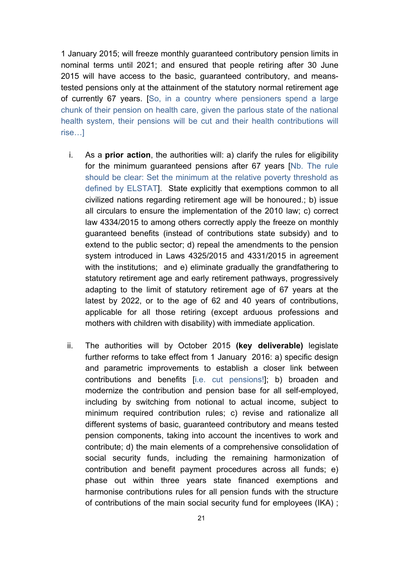1 January 2015; will freeze monthly guaranteed contributory pension limits in nominal terms until 2021; and ensured that people retiring after 30 June 2015 will have access to the basic, guaranteed contributory, and meanstested pensions only at the attainment of the statutory normal retirement age of currently 67 years. [So, in a country where pensioners spend a large chunk of their pension on health care, given the parlous state of the national health system, their pensions will be cut and their health contributions will rise…]

- i. As a **prior action**, the authorities will: a) clarify the rules for eligibility for the minimum guaranteed pensions after 67 years [Nb. The rule should be clear: Set the minimum at the relative poverty threshold as defined by ELSTAT]. State explicitly that exemptions common to all civilized nations regarding retirement age will be honoured.; b) issue all circulars to ensure the implementation of the 2010 law; c) correct law 4334/2015 to among others correctly apply the freeze on monthly guaranteed benefits (instead of contributions state subsidy) and to extend to the public sector; d) repeal the amendments to the pension system introduced in Laws 4325/2015 and 4331/2015 in agreement with the institutions; and e) eliminate gradually the grandfathering to statutory retirement age and early retirement pathways, progressively adapting to the limit of statutory retirement age of 67 years at the latest by 2022, or to the age of 62 and 40 years of contributions, applicable for all those retiring (except arduous professions and mothers with children with disability) with immediate application.
- ii. The authorities will by October 2015 **(key deliverable)** legislate further reforms to take effect from 1 January 2016: a) specific design and parametric improvements to establish a closer link between contributions and benefits [i.e. cut pensions!]; b) broaden and modernize the contribution and pension base for all self-employed, including by switching from notional to actual income, subject to minimum required contribution rules; c) revise and rationalize all different systems of basic, guaranteed contributory and means tested pension components, taking into account the incentives to work and contribute; d) the main elements of a comprehensive consolidation of social security funds, including the remaining harmonization of contribution and benefit payment procedures across all funds; e) phase out within three years state financed exemptions and harmonise contributions rules for all pension funds with the structure of contributions of the main social security fund for employees (IKA) ;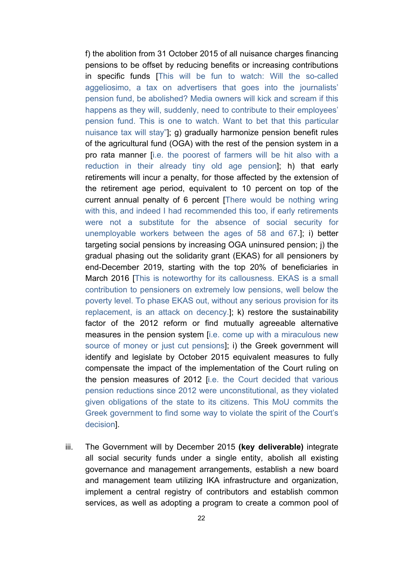f) the abolition from 31 October 2015 of all nuisance charges financing pensions to be offset by reducing benefits or increasing contributions in specific funds [This will be fun to watch: Will the so-called aggeliosimo, a tax on advertisers that goes into the journalists' pension fund, be abolished? Media owners will kick and scream if this happens as they will, suddenly, need to contribute to their employees' pension fund. This is one to watch. Want to bet that this particular nuisance tax will stay"]; g) gradually harmonize pension benefit rules of the agricultural fund (OGA) with the rest of the pension system in a pro rata manner [i.e. the poorest of farmers will be hit also with a reduction in their already tiny old age pension]; h) that early retirements will incur a penalty, for those affected by the extension of the retirement age period, equivalent to 10 percent on top of the current annual penalty of 6 percent [There would be nothing wring with this, and indeed I had recommended this too, if early retirements were not a substitute for the absence of social security for unemployable workers between the ages of 58 and 67.]; i) better targeting social pensions by increasing OGA uninsured pension; j) the gradual phasing out the solidarity grant (EKAS) for all pensioners by end-December 2019, starting with the top 20% of beneficiaries in March 2016 [This is noteworthy for its callousness. EKAS is a small contribution to pensioners on extremely low pensions, well below the poverty level. To phase EKAS out, without any serious provision for its replacement, is an attack on decency.]; k) restore the sustainability factor of the 2012 reform or find mutually agreeable alternative measures in the pension system [i.e. come up with a miraculous new source of money or just cut pensions]; i) the Greek government will identify and legislate by October 2015 equivalent measures to fully compensate the impact of the implementation of the Court ruling on the pension measures of 2012 [i.e. the Court decided that various pension reductions since 2012 were unconstitutional, as they violated given obligations of the state to its citizens. This MoU commits the Greek government to find some way to violate the spirit of the Court's decision].

iii. The Government will by December 2015 **(key deliverable)** integrate all social security funds under a single entity, abolish all existing governance and management arrangements, establish a new board and management team utilizing IKA infrastructure and organization, implement a central registry of contributors and establish common services, as well as adopting a program to create a common pool of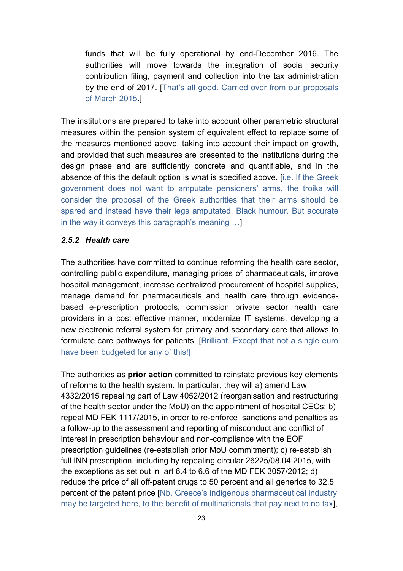funds that will be fully operational by end-December 2016. The authorities will move towards the integration of social security contribution filing, payment and collection into the tax administration by the end of 2017. [That's all good. Carried over from our proposals of March 2015.]

The institutions are prepared to take into account other parametric structural measures within the pension system of equivalent effect to replace some of the measures mentioned above, taking into account their impact on growth, and provided that such measures are presented to the institutions during the design phase and are sufficiently concrete and quantifiable, and in the absence of this the default option is what is specified above. [i.e. If the Greek government does not want to amputate pensioners' arms, the troika will consider the proposal of the Greek authorities that their arms should be spared and instead have their legs amputated. Black humour. But accurate in the way it conveys this paragraph's meaning …]

#### *2.5.2 Health care*

The authorities have committed to continue reforming the health care sector, controlling public expenditure, managing prices of pharmaceuticals, improve hospital management, increase centralized procurement of hospital supplies, manage demand for pharmaceuticals and health care through evidencebased e-prescription protocols, commission private sector health care providers in a cost effective manner, modernize IT systems, developing a new electronic referral system for primary and secondary care that allows to formulate care pathways for patients. [Brilliant. Except that not a single euro have been budgeted for any of this!]

The authorities as **prior action** committed to reinstate previous key elements of reforms to the health system. In particular, they will a) amend Law 4332/2015 repealing part of Law 4052/2012 (reorganisation and restructuring of the health sector under the MoU) on the appointment of hospital CEOs; b) repeal MD FEK 1117/2015, in order to re-enforce sanctions and penalties as a follow-up to the assessment and reporting of misconduct and conflict of interest in prescription behaviour and non-compliance with the EOF prescription guidelines (re-establish prior MoU commitment); c) re-establish full INN prescription, including by repealing circular 26225/08.04.2015, with the exceptions as set out in art 6.4 to 6.6 of the MD FEK 3057/2012; d) reduce the price of all off-patent drugs to 50 percent and all generics to 32.5 percent of the patent price [Nb. Greece's indigenous pharmaceutical industry may be targeted here, to the benefit of multinationals that pay next to no tax],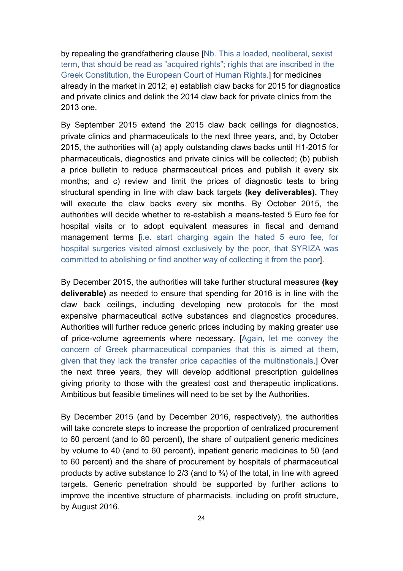by repealing the grandfathering clause [Nb. This a loaded, neoliberal, sexist term, that should be read as "acquired rights"; rights that are inscribed in the Greek Constitution, the European Court of Human Rights.] for medicines already in the market in 2012; e) establish claw backs for 2015 for diagnostics and private clinics and delink the 2014 claw back for private clinics from the 2013 one.

By September 2015 extend the 2015 claw back ceilings for diagnostics, private clinics and pharmaceuticals to the next three years, and, by October 2015, the authorities will (a) apply outstanding claws backs until H1-2015 for pharmaceuticals, diagnostics and private clinics will be collected; (b) publish a price bulletin to reduce pharmaceutical prices and publish it every six months; and c) review and limit the prices of diagnostic tests to bring structural spending in line with claw back targets **(key deliverables).** They will execute the claw backs every six months. By October 2015, the authorities will decide whether to re-establish a means-tested 5 Euro fee for hospital visits or to adopt equivalent measures in fiscal and demand management terms [i.e. start charging again the hated 5 euro fee, for hospital surgeries visited almost exclusively by the poor, that SYRIZA was committed to abolishing or find another way of collecting it from the poor].

By December 2015, the authorities will take further structural measures **(key deliverable)** as needed to ensure that spending for 2016 is in line with the claw back ceilings, including developing new protocols for the most expensive pharmaceutical active substances and diagnostics procedures. Authorities will further reduce generic prices including by making greater use of price-volume agreements where necessary. [Again, let me convey the concern of Greek pharmaceutical companies that this is aimed at them, given that they lack the transfer price capacities of the multinationals.] Over the next three years, they will develop additional prescription guidelines giving priority to those with the greatest cost and therapeutic implications. Ambitious but feasible timelines will need to be set by the Authorities.

By December 2015 (and by December 2016, respectively), the authorities will take concrete steps to increase the proportion of centralized procurement to 60 percent (and to 80 percent), the share of outpatient generic medicines by volume to 40 (and to 60 percent), inpatient generic medicines to 50 (and to 60 percent) and the share of procurement by hospitals of pharmaceutical products by active substance to  $2/3$  (and to  $\frac{3}{4}$ ) of the total, in line with agreed targets. Generic penetration should be supported by further actions to improve the incentive structure of pharmacists, including on profit structure, by August 2016.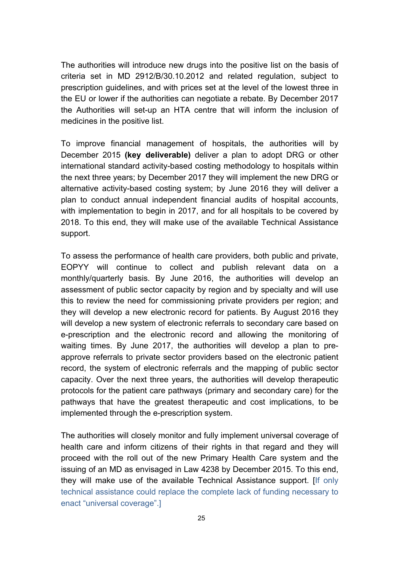The authorities will introduce new drugs into the positive list on the basis of criteria set in MD 2912/B/30.10.2012 and related regulation, subject to prescription guidelines, and with prices set at the level of the lowest three in the EU or lower if the authorities can negotiate a rebate. By December 2017 the Authorities will set-up an HTA centre that will inform the inclusion of medicines in the positive list.

To improve financial management of hospitals, the authorities will by December 2015 **(key deliverable)** deliver a plan to adopt DRG or other international standard activity-based costing methodology to hospitals within the next three years; by December 2017 they will implement the new DRG or alternative activity-based costing system; by June 2016 they will deliver a plan to conduct annual independent financial audits of hospital accounts, with implementation to begin in 2017, and for all hospitals to be covered by 2018. To this end, they will make use of the available Technical Assistance support.

To assess the performance of health care providers, both public and private, EOPYY will continue to collect and publish relevant data on a monthly/quarterly basis. By June 2016, the authorities will develop an assessment of public sector capacity by region and by specialty and will use this to review the need for commissioning private providers per region; and they will develop a new electronic record for patients. By August 2016 they will develop a new system of electronic referrals to secondary care based on e-prescription and the electronic record and allowing the monitoring of waiting times. By June 2017, the authorities will develop a plan to preapprove referrals to private sector providers based on the electronic patient record, the system of electronic referrals and the mapping of public sector capacity. Over the next three years, the authorities will develop therapeutic protocols for the patient care pathways (primary and secondary care) for the pathways that have the greatest therapeutic and cost implications, to be implemented through the e-prescription system.

The authorities will closely monitor and fully implement universal coverage of health care and inform citizens of their rights in that regard and they will proceed with the roll out of the new Primary Health Care system and the issuing of an MD as envisaged in Law 4238 by December 2015. To this end, they will make use of the available Technical Assistance support. [If only technical assistance could replace the complete lack of funding necessary to enact "universal coverage".]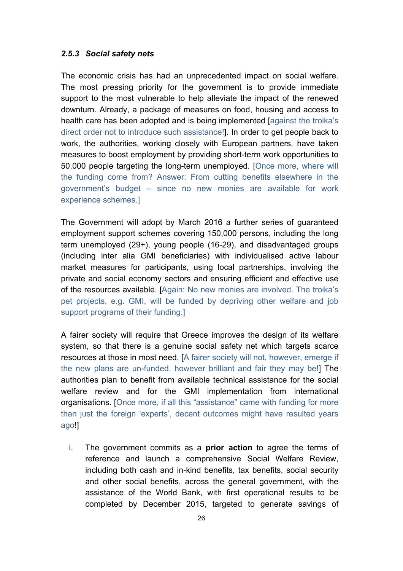#### *2.5.3 Social safety nets*

The economic crisis has had an unprecedented impact on social welfare. The most pressing priority for the government is to provide immediate support to the most vulnerable to help alleviate the impact of the renewed downturn. Already, a package of measures on food, housing and access to health care has been adopted and is being implemented [against the troika's direct order not to introduce such assistance!]. In order to get people back to work, the authorities, working closely with European partners, have taken measures to boost employment by providing short-term work opportunities to 50.000 people targeting the long-term unemployed. [Once more, where will the funding come from? Answer: From cutting benefits elsewhere in the government's budget – since no new monies are available for work experience schemes.]

The Government will adopt by March 2016 a further series of guaranteed employment support schemes covering 150,000 persons, including the long term unemployed (29+), young people (16-29), and disadvantaged groups (including inter alia GMI beneficiaries) with individualised active labour market measures for participants, using local partnerships, involving the private and social economy sectors and ensuring efficient and effective use of the resources available. [Again: No new monies are involved. The troika's pet projects, e.g. GMI, will be funded by depriving other welfare and job support programs of their funding.]

A fairer society will require that Greece improves the design of its welfare system, so that there is a genuine social safety net which targets scarce resources at those in most need. [A fairer society will not, however, emerge if the new plans are un-funded, however brilliant and fair they may be!] The authorities plan to benefit from available technical assistance for the social welfare review and for the GMI implementation from international organisations. [Once more, if all this "assistance" came with funding for more than just the foreign 'experts', decent outcomes might have resulted years ago!]

i. The government commits as a **prior action** to agree the terms of reference and launch a comprehensive Social Welfare Review, including both cash and in-kind benefits, tax benefits, social security and other social benefits, across the general government, with the assistance of the World Bank, with first operational results to be completed by December 2015, targeted to generate savings of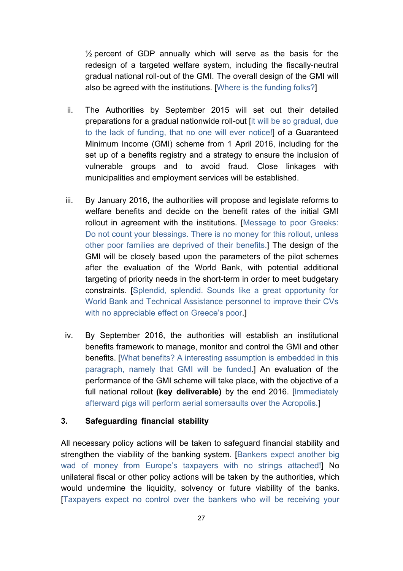½ percent of GDP annually which will serve as the basis for the redesign of a targeted welfare system, including the fiscally-neutral gradual national roll-out of the GMI. The overall design of the GMI will also be agreed with the institutions. [Where is the funding folks?]

- ii. The Authorities by September 2015 will set out their detailed preparations for a gradual nationwide roll-out [it will be so gradual, due to the lack of funding, that no one will ever notice!] of a Guaranteed Minimum Income (GMI) scheme from 1 April 2016, including for the set up of a benefits registry and a strategy to ensure the inclusion of vulnerable groups and to avoid fraud. Close linkages with municipalities and employment services will be established.
- iii. By January 2016, the authorities will propose and legislate reforms to welfare benefits and decide on the benefit rates of the initial GMI rollout in agreement with the institutions. [Message to poor Greeks: Do not count your blessings. There is no money for this rollout, unless other poor families are deprived of their benefits.] The design of the GMI will be closely based upon the parameters of the pilot schemes after the evaluation of the World Bank, with potential additional targeting of priority needs in the short-term in order to meet budgetary constraints. [Splendid, splendid. Sounds like a great opportunity for World Bank and Technical Assistance personnel to improve their CVs with no appreciable effect on Greece's poor.]
- iv. By September 2016, the authorities will establish an institutional benefits framework to manage, monitor and control the GMI and other benefits. [What benefits? A interesting assumption is embedded in this paragraph, namely that GMI will be funded.] An evaluation of the performance of the GMI scheme will take place, with the objective of a full national rollout **(key deliverable)** by the end 2016. [Immediately afterward pigs will perform aerial somersaults over the Acropolis.]

## **3. Safeguarding financial stability**

All necessary policy actions will be taken to safeguard financial stability and strengthen the viability of the banking system. [Bankers expect another big wad of money from Europe's taxpayers with no strings attached!] No unilateral fiscal or other policy actions will be taken by the authorities, which would undermine the liquidity, solvency or future viability of the banks. [Taxpayers expect no control over the bankers who will be receiving your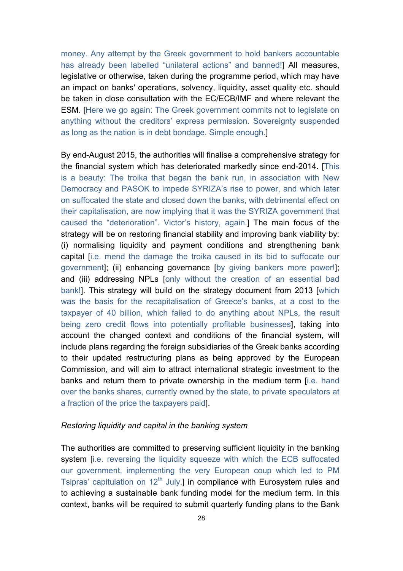money. Any attempt by the Greek government to hold bankers accountable has already been labelled "unilateral actions" and banned!] All measures, legislative or otherwise, taken during the programme period, which may have an impact on banks' operations, solvency, liquidity, asset quality etc. should be taken in close consultation with the EC/ECB/IMF and where relevant the ESM. [Here we go again: The Greek government commits not to legislate on anything without the creditors' express permission. Sovereignty suspended as long as the nation is in debt bondage. Simple enough.]

By end-August 2015, the authorities will finalise a comprehensive strategy for the financial system which has deteriorated markedly since end-2014. [This is a beauty: The troika that began the bank run, in association with New Democracy and PASOK to impede SYRIZA's rise to power, and which later on suffocated the state and closed down the banks, with detrimental effect on their capitalisation, are now implying that it was the SYRIZA government that caused the "deterioration". Victor's history, again.] The main focus of the strategy will be on restoring financial stability and improving bank viability by: (i) normalising liquidity and payment conditions and strengthening bank capital [i.e. mend the damage the troika caused in its bid to suffocate our government]; (ii) enhancing governance [by giving bankers more power!]; and (iii) addressing NPLs [only without the creation of an essential bad bank!]. This strategy will build on the strategy document from 2013 [which was the basis for the recapitalisation of Greece's banks, at a cost to the taxpayer of 40 billion, which failed to do anything about NPLs, the result being zero credit flows into potentially profitable businesses], taking into account the changed context and conditions of the financial system, will include plans regarding the foreign subsidiaries of the Greek banks according to their updated restructuring plans as being approved by the European Commission, and will aim to attract international strategic investment to the banks and return them to private ownership in the medium term [i.e. hand over the banks shares, currently owned by the state, to private speculators at a fraction of the price the taxpayers paid].

#### *Restoring liquidity and capital in the banking system*

The authorities are committed to preserving sufficient liquidity in the banking system *[i.e. reversing the liquidity squeeze with which the ECB suffocated* our government, implementing the very European coup which led to PM Tsipras' capitulation on 12<sup>th</sup> July.] in compliance with Eurosystem rules and to achieving a sustainable bank funding model for the medium term. In this context, banks will be required to submit quarterly funding plans to the Bank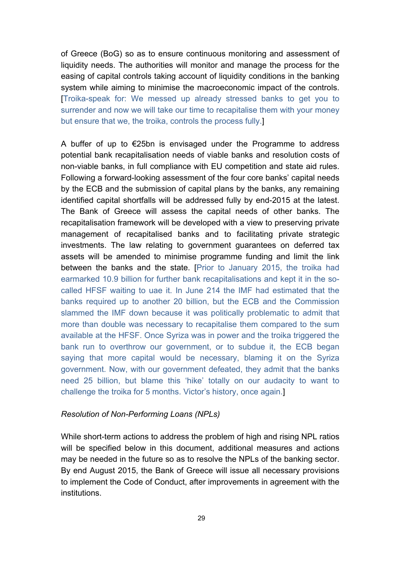of Greece (BoG) so as to ensure continuous monitoring and assessment of liquidity needs. The authorities will monitor and manage the process for the easing of capital controls taking account of liquidity conditions in the banking system while aiming to minimise the macroeconomic impact of the controls. [Troika-speak for: We messed up already stressed banks to get you to surrender and now we will take our time to recapitalise them with your money but ensure that we, the troika, controls the process fully.]

A buffer of up to  $\epsilon$ 25bn is envisaged under the Programme to address potential bank recapitalisation needs of viable banks and resolution costs of non-viable banks, in full compliance with EU competition and state aid rules. Following a forward-looking assessment of the four core banks' capital needs by the ECB and the submission of capital plans by the banks, any remaining identified capital shortfalls will be addressed fully by end-2015 at the latest. The Bank of Greece will assess the capital needs of other banks. The recapitalisation framework will be developed with a view to preserving private management of recapitalised banks and to facilitating private strategic investments. The law relating to government guarantees on deferred tax assets will be amended to minimise programme funding and limit the link between the banks and the state. [Prior to January 2015, the troika had earmarked 10.9 billion for further bank recapitalisations and kept it in the socalled HFSF waiting to uae it. In June 214 the IMF had estimated that the banks required up to another 20 billion, but the ECB and the Commission slammed the IMF down because it was politically problematic to admit that more than double was necessary to recapitalise them compared to the sum available at the HFSF. Once Syriza was in power and the troika triggered the bank run to overthrow our government, or to subdue it, the ECB began saying that more capital would be necessary, blaming it on the Syriza government. Now, with our government defeated, they admit that the banks need 25 billion, but blame this 'hike' totally on our audacity to want to challenge the troika for 5 months. Victor's history, once again.]

#### *Resolution of Non-Performing Loans (NPLs)*

While short-term actions to address the problem of high and rising NPL ratios will be specified below in this document, additional measures and actions may be needed in the future so as to resolve the NPLs of the banking sector. By end August 2015, the Bank of Greece will issue all necessary provisions to implement the Code of Conduct, after improvements in agreement with the institutions.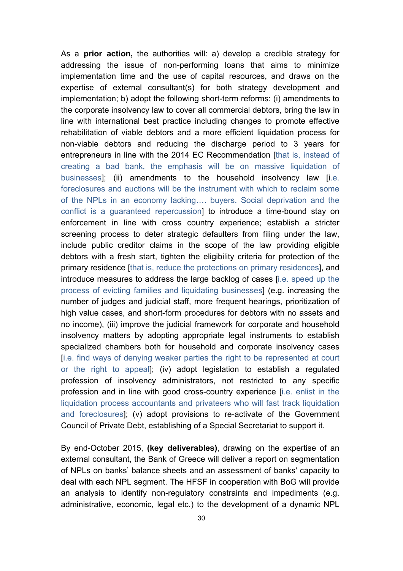As a **prior action,** the authorities will: a) develop a credible strategy for addressing the issue of non-performing loans that aims to minimize implementation time and the use of capital resources, and draws on the expertise of external consultant(s) for both strategy development and implementation; b) adopt the following short-term reforms: (i) amendments to the corporate insolvency law to cover all commercial debtors, bring the law in line with international best practice including changes to promote effective rehabilitation of viable debtors and a more efficient liquidation process for non-viable debtors and reducing the discharge period to 3 years for entrepreneurs in line with the 2014 EC Recommendation [that is, instead of creating a bad bank, the emphasis will be on massive liquidation of businesses]; (ii) amendments to the household insolvency law [i.e. foreclosures and auctions will be the instrument with which to reclaim some of the NPLs in an economy lacking…. buyers. Social deprivation and the conflict is a guaranteed repercussion] to introduce a time-bound stay on enforcement in line with cross country experience; establish a stricter screening process to deter strategic defaulters from filing under the law, include public creditor claims in the scope of the law providing eligible debtors with a fresh start, tighten the eligibility criteria for protection of the primary residence [that is, reduce the protections on primary residences], and introduce measures to address the large backlog of cases [i.e. speed up the process of evicting families and liquidating businesses] (e.g. increasing the number of judges and judicial staff, more frequent hearings, prioritization of high value cases, and short-form procedures for debtors with no assets and no income), (iii) improve the judicial framework for corporate and household insolvency matters by adopting appropriate legal instruments to establish specialized chambers both for household and corporate insolvency cases [i.e. find ways of denying weaker parties the right to be represented at court or the right to appeal]; (iv) adopt legislation to establish a regulated profession of insolvency administrators, not restricted to any specific profession and in line with good cross-country experience [i.e. enlist in the liquidation process accountants and privateers who will fast track liquidation and foreclosures]; (v) adopt provisions to re-activate of the Government Council of Private Debt, establishing of a Special Secretariat to support it.

By end-October 2015, **(key deliverables)**, drawing on the expertise of an external consultant, the Bank of Greece will deliver a report on segmentation of NPLs on banks' balance sheets and an assessment of banks' capacity to deal with each NPL segment. The HFSF in cooperation with BoG will provide an analysis to identify non-regulatory constraints and impediments (e.g. administrative, economic, legal etc.) to the development of a dynamic NPL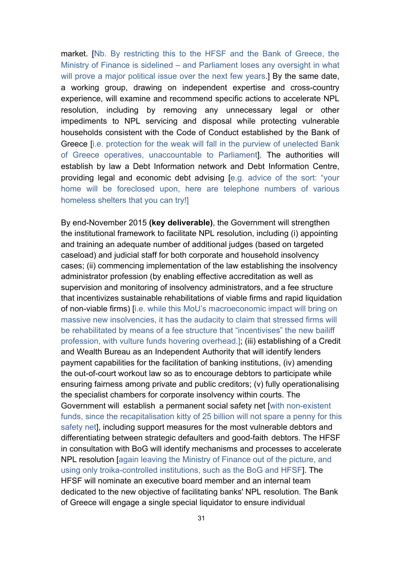market. [Nb. By restricting this to the HFSF and the Bank of Greece, the Ministry of Finance is sidelined – and Parliament loses any oversight in what will prove a major political issue over the next few years.] By the same date, a working group, drawing on independent expertise and cross-country experience, will examine and recommend specific actions to accelerate NPL resolution, including by removing any unnecessary legal or other impediments to NPL servicing and disposal while protecting vulnerable households consistent with the Code of Conduct established by the Bank of Greece [i.e. protection for the weak will fall in the purview of unelected Bank of Greece operatives, unaccountable to Parliament]. The authorities will establish by law a Debt Information network and Debt Information Centre, providing legal and economic debt advising [e.g. advice of the sort: "your home will be foreclosed upon, here are telephone numbers of various homeless shelters that you can try!]

By end-November 2015 **(key deliverable)**, the Government will strengthen the institutional framework to facilitate NPL resolution, including (i) appointing and training an adequate number of additional judges (based on targeted caseload) and judicial staff for both corporate and household insolvency cases; (ii) commencing implementation of the law establishing the insolvency administrator profession (by enabling effective accreditation as well as supervision and monitoring of insolvency administrators, and a fee structure that incentivizes sustainable rehabilitations of viable firms and rapid liquidation of non-viable firms) [i.e. while this MoU's macroeconomic impact will bring on massive new insolvencies, it has the audacity to claim that stressed firms will be rehabilitated by means of a fee structure that "incentivises" the new bailiff profession, with vulture funds hovering overhead.]; (iii) establishing of a Credit and Wealth Bureau as an Independent Authority that will identify lenders payment capabilities for the facilitation of banking institutions, (iv) amending the out-of-court workout law so as to encourage debtors to participate while ensuring fairness among private and public creditors; (v) fully operationalising the specialist chambers for corporate insolvency within courts. The Government will establish a permanent social safety net [with non-existent funds, since the recapitalisation kitty of 25 billion will not spare a penny for this safety net], including support measures for the most vulnerable debtors and differentiating between strategic defaulters and good-faith debtors. The HFSF in consultation with BoG will identify mechanisms and processes to accelerate NPL resolution [again leaving the Ministry of Finance out of the picture, and using only troika-controlled institutions, such as the BoG and HFSF]. The HFSF will nominate an executive board member and an internal team dedicated to the new objective of facilitating banks' NPL resolution. The Bank of Greece will engage a single special liquidator to ensure individual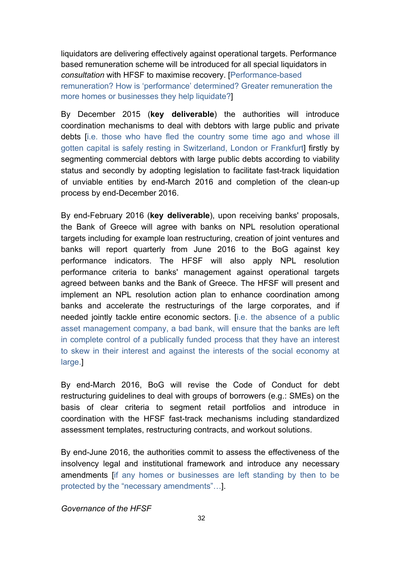liquidators are delivering effectively against operational targets. Performance based remuneration scheme will be introduced for all special liquidators in *consultation* with HFSF to maximise recovery. [Performance-based remuneration? How is 'performance' determined? Greater remuneration the more homes or businesses they help liquidate?]

By December 2015 (**key deliverable**) the authorities will introduce coordination mechanisms to deal with debtors with large public and private debts [i.e. those who have fled the country some time ago and whose ill gotten capital is safely resting in Switzerland, London or Frankfurt] firstly by segmenting commercial debtors with large public debts according to viability status and secondly by adopting legislation to facilitate fast-track liquidation of unviable entities by end-March 2016 and completion of the clean-up process by end-December 2016.

By end-February 2016 (**key deliverable**), upon receiving banks' proposals, the Bank of Greece will agree with banks on NPL resolution operational targets including for example loan restructuring, creation of joint ventures and banks will report quarterly from June 2016 to the BoG against key performance indicators. The HFSF will also apply NPL resolution performance criteria to banks' management against operational targets agreed between banks and the Bank of Greece. The HFSF will present and implement an NPL resolution action plan to enhance coordination among banks and accelerate the restructurings of the large corporates, and if needed jointly tackle entire economic sectors. [i.e. the absence of a public asset management company, a bad bank, will ensure that the banks are left in complete control of a publically funded process that they have an interest to skew in their interest and against the interests of the social economy at large.]

By end-March 2016, BoG will revise the Code of Conduct for debt restructuring guidelines to deal with groups of borrowers (e.g.: SMEs) on the basis of clear criteria to segment retail portfolios and introduce in coordination with the HFSF fast-track mechanisms including standardized assessment templates, restructuring contracts, and workout solutions.

By end-June 2016, the authorities commit to assess the effectiveness of the insolvency legal and institutional framework and introduce any necessary amendments [if any homes or businesses are left standing by then to be protected by the "necessary amendments"…].

*Governance of the HFSF*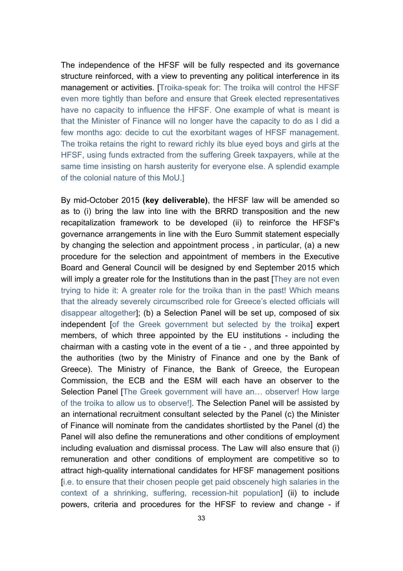The independence of the HFSF will be fully respected and its governance structure reinforced, with a view to preventing any political interference in its management or activities. [Troika-speak for: The troika will control the HFSF even more tightly than before and ensure that Greek elected representatives have no capacity to influence the HFSF. One example of what is meant is that the Minister of Finance will no longer have the capacity to do as I did a few months ago: decide to cut the exorbitant wages of HFSF management. The troika retains the right to reward richly its blue eyed boys and girls at the HFSF, using funds extracted from the suffering Greek taxpayers, while at the same time insisting on harsh austerity for everyone else. A splendid example of the colonial nature of this MoU.]

By mid-October 2015 **(key deliverable)**, the HFSF law will be amended so as to (i) bring the law into line with the BRRD transposition and the new recapitalization framework to be developed (ii) to reinforce the HFSF's governance arrangements in line with the Euro Summit statement especially by changing the selection and appointment process , in particular, (a) a new procedure for the selection and appointment of members in the Executive Board and General Council will be designed by end September 2015 which will imply a greater role for the Institutions than in the past [They are not even trying to hide it: A greater role for the troika than in the past! Which means that the already severely circumscribed role for Greece's elected officials will disappear altogether]; (b) a Selection Panel will be set up, composed of six independent [of the Greek government but selected by the troika] expert members, of which three appointed by the EU institutions - including the chairman with a casting vote in the event of a tie - , and three appointed by the authorities (two by the Ministry of Finance and one by the Bank of Greece). The Ministry of Finance, the Bank of Greece, the European Commission, the ECB and the ESM will each have an observer to the Selection Panel [The Greek government will have an... observer! How large of the troika to allow us to observe!]. The Selection Panel will be assisted by an international recruitment consultant selected by the Panel (c) the Minister of Finance will nominate from the candidates shortlisted by the Panel (d) the Panel will also define the remunerations and other conditions of employment including evaluation and dismissal process. The Law will also ensure that (i) remuneration and other conditions of employment are competitive so to attract high-quality international candidates for HFSF management positions [i.e. to ensure that their chosen people get paid obscenely high salaries in the context of a shrinking, suffering, recession-hit population] (ii) to include powers, criteria and procedures for the HFSF to review and change - if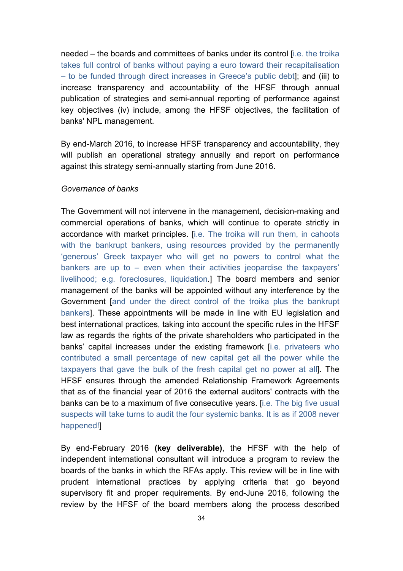needed – the boards and committees of banks under its control [i.e. the troika takes full control of banks without paying a euro toward their recapitalisation – to be funded through direct increases in Greece's public debt]; and (iii) to increase transparency and accountability of the HFSF through annual publication of strategies and semi-annual reporting of performance against key objectives (iv) include, among the HFSF objectives, the facilitation of banks' NPL management.

By end-March 2016, to increase HFSF transparency and accountability, they will publish an operational strategy annually and report on performance against this strategy semi-annually starting from June 2016.

#### *Governance of banks*

The Government will not intervene in the management, decision-making and commercial operations of banks, which will continue to operate strictly in accordance with market principles. [i.e. The troika will run them, in cahoots with the bankrupt bankers, using resources provided by the permanently 'generous' Greek taxpayer who will get no powers to control what the bankers are up to – even when their activities jeopardise the taxpayers' livelihood; e.g. foreclosures, liquidation.] The board members and senior management of the banks will be appointed without any interference by the Government [and under the direct control of the troika plus the bankrupt bankers]. These appointments will be made in line with EU legislation and best international practices, taking into account the specific rules in the HFSF law as regards the rights of the private shareholders who participated in the banks' capital increases under the existing framework [i.e. privateers who contributed a small percentage of new capital get all the power while the taxpayers that gave the bulk of the fresh capital get no power at all]. The HFSF ensures through the amended Relationship Framework Agreements that as of the financial year of 2016 the external auditors' contracts with the banks can be to a maximum of five consecutive years. [i.e. The big five usual suspects will take turns to audit the four systemic banks. It is as if 2008 never happened!]

By end-February 2016 **(key deliverable)**, the HFSF with the help of independent international consultant will introduce a program to review the boards of the banks in which the RFAs apply. This review will be in line with prudent international practices by applying criteria that go beyond supervisory fit and proper requirements. By end-June 2016, following the review by the HFSF of the board members along the process described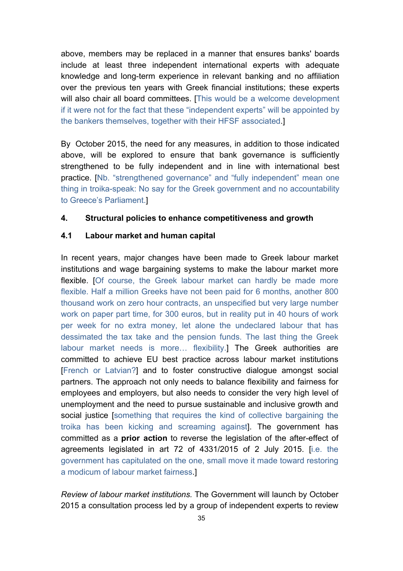above, members may be replaced in a manner that ensures banks' boards include at least three independent international experts with adequate knowledge and long-term experience in relevant banking and no affiliation over the previous ten years with Greek financial institutions; these experts will also chair all board committees. [This would be a welcome development if it were not for the fact that these "independent experts" will be appointed by the bankers themselves, together with their HFSF associated.]

By October 2015, the need for any measures, in addition to those indicated above, will be explored to ensure that bank governance is sufficiently strengthened to be fully independent and in line with international best practice. [Nb. "strengthened governance" and "fully independent" mean one thing in troika-speak: No say for the Greek government and no accountability to Greece's Parliament.]

#### **4. Structural policies to enhance competitiveness and growth**

### **4.1 Labour market and human capital**

In recent years, major changes have been made to Greek labour market institutions and wage bargaining systems to make the labour market more flexible. [Of course, the Greek labour market can hardly be made more flexible. Half a million Greeks have not been paid for 6 months, another 800 thousand work on zero hour contracts, an unspecified but very large number work on paper part time, for 300 euros, but in reality put in 40 hours of work per week for no extra money, let alone the undeclared labour that has dessimated the tax take and the pension funds. The last thing the Greek labour market needs is more… flexibility.] The Greek authorities are committed to achieve EU best practice across labour market institutions [French or Latvian?] and to foster constructive dialogue amongst social partners. The approach not only needs to balance flexibility and fairness for employees and employers, but also needs to consider the very high level of unemployment and the need to pursue sustainable and inclusive growth and social justice [something that requires the kind of collective bargaining the troika has been kicking and screaming against]. The government has committed as a **prior action** to reverse the legislation of the after-effect of agreements legislated in art 72 of 4331/2015 of 2 July 2015. [i.e. the government has capitulated on the one, small move it made toward restoring a modicum of labour market fairness.]

*Review of labour market institutions.* The Government will launch by October 2015 a consultation process led by a group of independent experts to review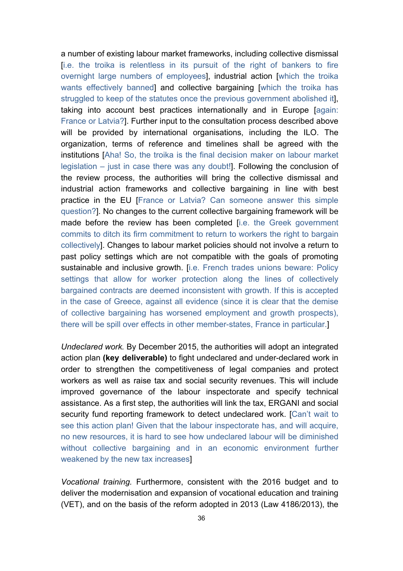a number of existing labour market frameworks, including collective dismissal [i.e. the troika is relentless in its pursuit of the right of bankers to fire overnight large numbers of employees], industrial action [which the troika wants effectively banned] and collective bargaining [which the troika has struggled to keep of the statutes once the previous government abolished it], taking into account best practices internationally and in Europe [again: France or Latvia?]. Further input to the consultation process described above will be provided by international organisations, including the ILO. The organization, terms of reference and timelines shall be agreed with the institutions [Aha! So, the troika is the final decision maker on labour market legislation – just in case there was any doubt!]. Following the conclusion of the review process, the authorities will bring the collective dismissal and industrial action frameworks and collective bargaining in line with best practice in the EU [France or Latvia? Can someone answer this simple question?]. No changes to the current collective bargaining framework will be made before the review has been completed [i.e. the Greek government commits to ditch its firm commitment to return to workers the right to bargain collectively]. Changes to labour market policies should not involve a return to past policy settings which are not compatible with the goals of promoting sustainable and inclusive growth. [i.e. French trades unions beware: Policy settings that allow for worker protection along the lines of collectively bargained contracts are deemed inconsistent with growth. If this is accepted in the case of Greece, against all evidence (since it is clear that the demise of collective bargaining has worsened employment and growth prospects), there will be spill over effects in other member-states, France in particular.]

*Undeclared work.* By December 2015, the authorities will adopt an integrated action plan **(key deliverable)** to fight undeclared and under-declared work in order to strengthen the competitiveness of legal companies and protect workers as well as raise tax and social security revenues. This will include improved governance of the labour inspectorate and specify technical assistance. As a first step, the authorities will link the tax, ERGANI and social security fund reporting framework to detect undeclared work. [Can't wait to see this action plan! Given that the labour inspectorate has, and will acquire, no new resources, it is hard to see how undeclared labour will be diminished without collective bargaining and in an economic environment further weakened by the new tax increases]

*Vocational training.* Furthermore, consistent with the 2016 budget and to deliver the modernisation and expansion of vocational education and training (VET), and on the basis of the reform adopted in 2013 (Law 4186/2013), the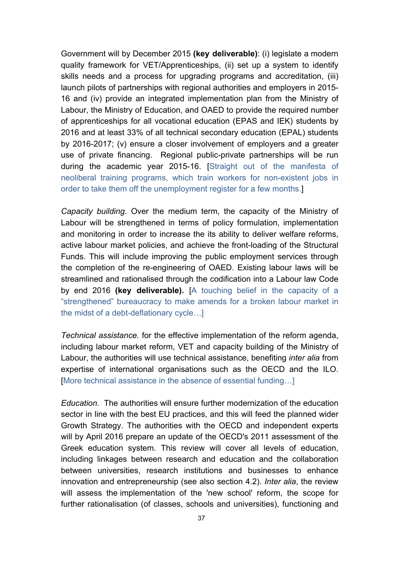Government will by December 2015 **(key deliverable)**: (i) legislate a modern quality framework for VET/Apprenticeships, (ii) set up a system to identify skills needs and a process for upgrading programs and accreditation, (iii) launch pilots of partnerships with regional authorities and employers in 2015- 16 and (iv) provide an integrated implementation plan from the Ministry of Labour, the Ministry of Education, and OAED to provide the required number of apprenticeships for all vocational education (EPAS and IEK) students by 2016 and at least 33% of all technical secondary education (EPAL) students by 2016-2017; (v) ensure a closer involvement of employers and a greater use of private financing. Regional public-private partnerships will be run during the academic year 2015-16. [Straight out of the manifesta of neoliberal training programs, which train workers for non-existent jobs in order to take them off the unemployment register for a few months.]

*Capacity building.* Over the medium term, the capacity of the Ministry of Labour will be strengthened in terms of policy formulation, implementation and monitoring in order to increase the its ability to deliver welfare reforms, active labour market policies, and achieve the front-loading of the Structural Funds. This will include improving the public employment services through the completion of the re-engineering of OAED. Existing labour laws will be streamlined and rationalised through the codification into a Labour law Code by end 2016 **(key deliverable).** [A touching belief in the capacity of a "strengthened" bureaucracy to make amends for a broken labour market in the midst of a debt-deflationary cycle…]

*Technical assistance.* for the effective implementation of the reform agenda, including labour market reform, VET and capacity building of the Ministry of Labour, the authorities will use technical assistance, benefiting *inter alia* from expertise of international organisations such as the OECD and the ILO. [More technical assistance in the absence of essential funding…]

*Education.* The authorities will ensure further modernization of the education sector in line with the best EU practices, and this will feed the planned wider Growth Strategy. The authorities with the OECD and independent experts will by April 2016 prepare an update of the OECD's 2011 assessment of the Greek education system. This review will cover all levels of education, including linkages between research and education and the collaboration between universities, research institutions and businesses to enhance innovation and entrepreneurship (see also section 4.2). *Inter alia*, the review will assess the implementation of the 'new school' reform, the scope for further rationalisation (of classes, schools and universities), functioning and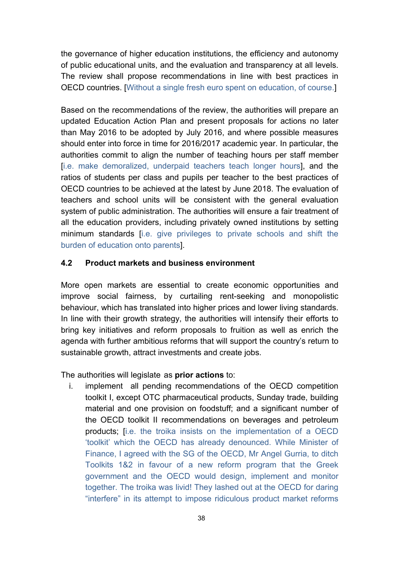the governance of higher education institutions, the efficiency and autonomy of public educational units, and the evaluation and transparency at all levels. The review shall propose recommendations in line with best practices in OECD countries. [Without a single fresh euro spent on education, of course.]

Based on the recommendations of the review, the authorities will prepare an updated Education Action Plan and present proposals for actions no later than May 2016 to be adopted by July 2016, and where possible measures should enter into force in time for 2016/2017 academic year. In particular, the authorities commit to align the number of teaching hours per staff member [i.e. make demoralized, underpaid teachers teach longer hours], and the ratios of students per class and pupils per teacher to the best practices of OECD countries to be achieved at the latest by June 2018. The evaluation of teachers and school units will be consistent with the general evaluation system of public administration. The authorities will ensure a fair treatment of all the education providers, including privately owned institutions by setting minimum standards [i.e. give privileges to private schools and shift the burden of education onto parents].

### **4.2 Product markets and business environment**

More open markets are essential to create economic opportunities and improve social fairness, by curtailing rent-seeking and monopolistic behaviour, which has translated into higher prices and lower living standards. In line with their growth strategy, the authorities will intensify their efforts to bring key initiatives and reform proposals to fruition as well as enrich the agenda with further ambitious reforms that will support the country's return to sustainable growth, attract investments and create jobs.

The authorities will legislate as **prior actions** to:

i. implement all pending recommendations of the OECD competition toolkit I, except OTC pharmaceutical products, Sunday trade, building material and one provision on foodstuff; and a significant number of the OECD toolkit II recommendations on beverages and petroleum products; [i.e. the troika insists on the implementation of a OECD 'toolkit' which the OECD has already denounced. While Minister of Finance, I agreed with the SG of the OECD, Mr Angel Gurria, to ditch Toolkits 1&2 in favour of a new reform program that the Greek government and the OECD would design, implement and monitor together. The troika was livid! They lashed out at the OECD for daring "interfere" in its attempt to impose ridiculous product market reforms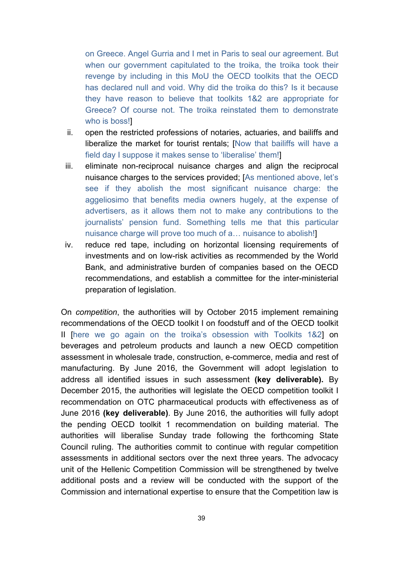on Greece. Angel Gurria and I met in Paris to seal our agreement. But when our government capitulated to the troika, the troika took their revenge by including in this MoU the OECD toolkits that the OECD has declared null and void. Why did the troika do this? Is it because they have reason to believe that toolkits 1&2 are appropriate for Greece? Of course not. The troika reinstated them to demonstrate who is boss!]

- ii. open the restricted professions of notaries, actuaries, and bailiffs and liberalize the market for tourist rentals; [Now that bailiffs will have a field day I suppose it makes sense to 'liberalise' them!]
- iii. eliminate non-reciprocal nuisance charges and align the reciprocal nuisance charges to the services provided; [As mentioned above, let's see if they abolish the most significant nuisance charge: the aggeliosimo that benefits media owners hugely, at the expense of advertisers, as it allows them not to make any contributions to the journalists' pension fund. Something tells me that this particular nuisance charge will prove too much of a… nuisance to abolish!]
- iv. reduce red tape, including on horizontal licensing requirements of investments and on low-risk activities as recommended by the World Bank, and administrative burden of companies based on the OECD recommendations, and establish a committee for the inter-ministerial preparation of legislation.

On *competition*, the authorities will by October 2015 implement remaining recommendations of the OECD toolkit I on foodstuff and of the OECD toolkit II [here we go again on the troika's obsession with Toolkits 1&2] on beverages and petroleum products and launch a new OECD competition assessment in wholesale trade, construction, e-commerce, media and rest of manufacturing. By June 2016, the Government will adopt legislation to address all identified issues in such assessment **(key deliverable).** By December 2015, the authorities will legislate the OECD competition toolkit I recommendation on OTC pharmaceutical products with effectiveness as of June 2016 **(key deliverable)**. By June 2016, the authorities will fully adopt the pending OECD toolkit 1 recommendation on building material. The authorities will liberalise Sunday trade following the forthcoming State Council ruling. The authorities commit to continue with regular competition assessments in additional sectors over the next three years. The advocacy unit of the Hellenic Competition Commission will be strengthened by twelve additional posts and a review will be conducted with the support of the Commission and international expertise to ensure that the Competition law is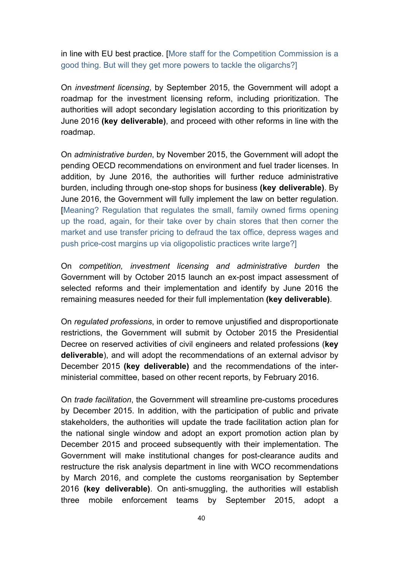in line with EU best practice. [More staff for the Competition Commission is a good thing. But will they get more powers to tackle the oligarchs?]

On *investment licensing*, by September 2015, the Government will adopt a roadmap for the investment licensing reform, including prioritization. The authorities will adopt secondary legislation according to this prioritization by June 2016 **(key deliverable)**, and proceed with other reforms in line with the roadmap.

On *administrative burden*, by November 2015, the Government will adopt the pending OECD recommendations on environment and fuel trader licenses. In addition, by June 2016, the authorities will further reduce administrative burden, including through one-stop shops for business **(key deliverable)**. By June 2016, the Government will fully implement the law on better regulation. [Meaning? Regulation that regulates the small, family owned firms opening up the road, again, for their take over by chain stores that then corner the market and use transfer pricing to defraud the tax office, depress wages and push price-cost margins up via oligopolistic practices write large?]

On *competition, investment licensing and administrative burden* the Government will by October 2015 launch an ex-post impact assessment of selected reforms and their implementation and identify by June 2016 the remaining measures needed for their full implementation **(key deliverable)**.

On *regulated professions*, in order to remove unjustified and disproportionate restrictions, the Government will submit by October 2015 the Presidential Decree on reserved activities of civil engineers and related professions (**key deliverable**), and will adopt the recommendations of an external advisor by December 2015 **(key deliverable)** and the recommendations of the interministerial committee, based on other recent reports, by February 2016.

On *trade facilitation*, the Government will streamline pre-customs procedures by December 2015. In addition, with the participation of public and private stakeholders, the authorities will update the trade facilitation action plan for the national single window and adopt an export promotion action plan by December 2015 and proceed subsequently with their implementation. The Government will make institutional changes for post-clearance audits and restructure the risk analysis department in line with WCO recommendations by March 2016, and complete the customs reorganisation by September 2016 **(key deliverable)**. On anti-smuggling, the authorities will establish three mobile enforcement teams by September 2015, adopt a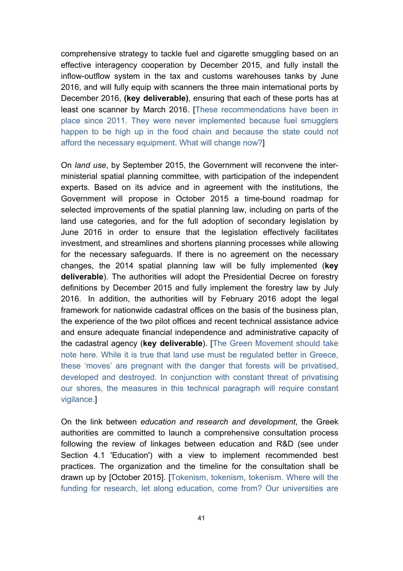comprehensive strategy to tackle fuel and cigarette smuggling based on an effective interagency cooperation by December 2015, and fully install the inflow-outflow system in the tax and customs warehouses tanks by June 2016, and will fully equip with scanners the three main international ports by December 2016, **(key deliverable)**, ensuring that each of these ports has at least one scanner by March 2016. [These recommendations have been in place since 2011. They were never implemented because fuel smugglers happen to be high up in the food chain and because the state could not afford the necessary equipment. What will change now?]

On *land use*, by September 2015, the Government will reconvene the interministerial spatial planning committee, with participation of the independent experts. Based on its advice and in agreement with the institutions, the Government will propose in October 2015 a time-bound roadmap for selected improvements of the spatial planning law, including on parts of the land use categories, and for the full adoption of secondary legislation by June 2016 in order to ensure that the legislation effectively facilitates investment, and streamlines and shortens planning processes while allowing for the necessary safeguards. If there is no agreement on the necessary changes, the 2014 spatial planning law will be fully implemented (**key deliverable**). The authorities will adopt the Presidential Decree on forestry definitions by December 2015 and fully implement the forestry law by July 2016. In addition, the authorities will by February 2016 adopt the legal framework for nationwide cadastral offices on the basis of the business plan, the experience of the two pilot offices and recent technical assistance advice and ensure adequate financial independence and administrative capacity of the cadastral agency (**key deliverable**). [The Green Movement should take note here. While it is true that land use must be regulated better in Greece, these 'moves' are pregnant with the danger that forests will be privatised, developed and destroyed. In conjunction with constant threat of privatising our shores, the measures in this technical paragraph will require constant vigilance.]

On the link between *education and research and development*, the Greek authorities are committed to launch a comprehensive consultation process following the review of linkages between education and R&D (see under Section 4.1 'Education') with a view to implement recommended best practices. The organization and the timeline for the consultation shall be drawn up by [October 2015]. [Tokenism, tokenism, tokenism. Where will the funding for research, let along education, come from? Our universities are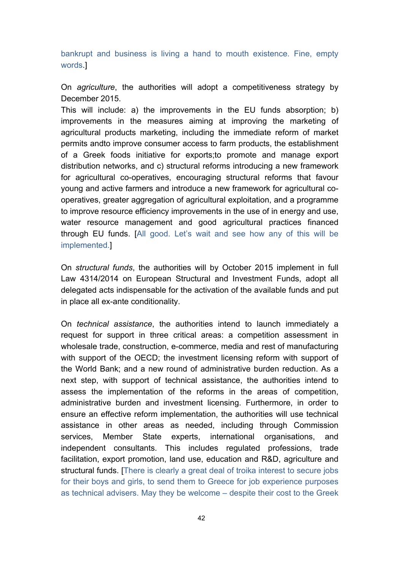bankrupt and business is living a hand to mouth existence. Fine, empty words.]

On *agriculture*, the authorities will adopt a competitiveness strategy by December 2015.

This will include: a) the improvements in the EU funds absorption; b) improvements in the measures aiming at improving the marketing of agricultural products marketing, including the immediate reform of market permits andto improve consumer access to farm products, the establishment of a Greek foods initiative for exports;to promote and manage export distribution networks, and c) structural reforms introducing a new framework for agricultural co-operatives, encouraging structural reforms that favour young and active farmers and introduce a new framework for agricultural cooperatives, greater aggregation of agricultural exploitation, and a programme to improve resource efficiency improvements in the use of in energy and use, water resource management and good agricultural practices financed through EU funds. [All good. Let's wait and see how any of this will be implemented.]

On *structural funds*, the authorities will by October 2015 implement in full Law 4314/2014 on European Structural and Investment Funds, adopt all delegated acts indispensable for the activation of the available funds and put in place all ex-ante conditionality.

On *technical assistance*, the authorities intend to launch immediately a request for support in three critical areas: a competition assessment in wholesale trade, construction, e-commerce, media and rest of manufacturing with support of the OECD; the investment licensing reform with support of the World Bank; and a new round of administrative burden reduction. As a next step, with support of technical assistance, the authorities intend to assess the implementation of the reforms in the areas of competition, administrative burden and investment licensing. Furthermore, in order to ensure an effective reform implementation, the authorities will use technical assistance in other areas as needed, including through Commission services, Member State experts, international organisations, and independent consultants. This includes regulated professions, trade facilitation, export promotion, land use, education and R&D, agriculture and structural funds. [There is clearly a great deal of troika interest to secure jobs for their boys and girls, to send them to Greece for job experience purposes as technical advisers. May they be welcome – despite their cost to the Greek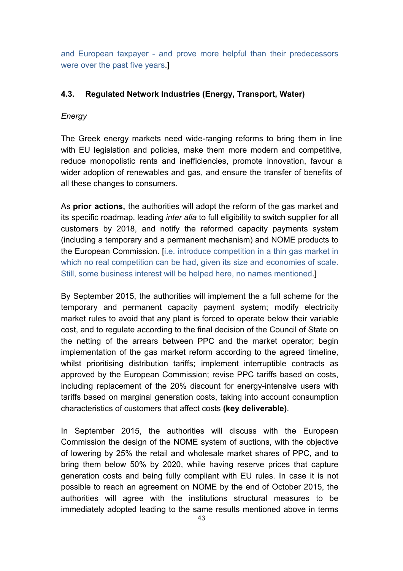and European taxpayer - and prove more helpful than their predecessors were over the past five years.]

# **4.3. Regulated Network Industries (Energy, Transport, Water)**

## *Energy*

The Greek energy markets need wide-ranging reforms to bring them in line with EU legislation and policies, make them more modern and competitive, reduce monopolistic rents and inefficiencies, promote innovation, favour a wider adoption of renewables and gas, and ensure the transfer of benefits of all these changes to consumers.

As **prior actions,** the authorities will adopt the reform of the gas market and its specific roadmap, leading *inter alia* to full eligibility to switch supplier for all customers by 2018, and notify the reformed capacity payments system (including a temporary and a permanent mechanism) and NOME products to the European Commission. [i.e. introduce competition in a thin gas market in which no real competition can be had, given its size and economies of scale. Still, some business interest will be helped here, no names mentioned.]

By September 2015, the authorities will implement the a full scheme for the temporary and permanent capacity payment system; modify electricity market rules to avoid that any plant is forced to operate below their variable cost, and to regulate according to the final decision of the Council of State on the netting of the arrears between PPC and the market operator; begin implementation of the gas market reform according to the agreed timeline, whilst prioritising distribution tariffs; implement interruptible contracts as approved by the European Commission; revise PPC tariffs based on costs, including replacement of the 20% discount for energy-intensive users with tariffs based on marginal generation costs, taking into account consumption characteristics of customers that affect costs **(key deliverable)**.

In September 2015, the authorities will discuss with the European Commission the design of the NOME system of auctions, with the objective of lowering by 25% the retail and wholesale market shares of PPC, and to bring them below 50% by 2020, while having reserve prices that capture generation costs and being fully compliant with EU rules. In case it is not possible to reach an agreement on NOME by the end of October 2015, the authorities will agree with the institutions structural measures to be immediately adopted leading to the same results mentioned above in terms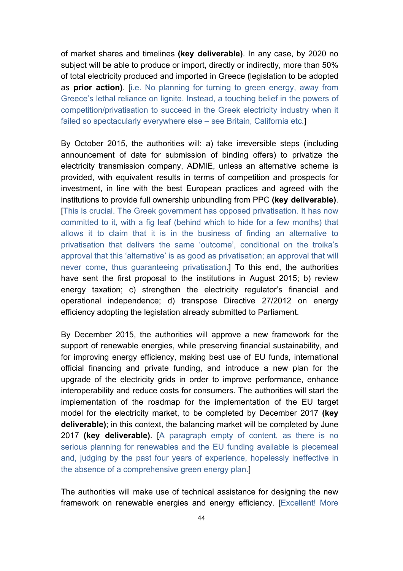of market shares and timelines **(key deliverable)**. In any case, by 2020 no subject will be able to produce or import, directly or indirectly, more than 50% of total electricity produced and imported in Greece **(**legislation to be adopted as **prior action)**. [i.e. No planning for turning to green energy, away from Greece's lethal reliance on lignite. Instead, a touching belief in the powers of competition/privatisation to succeed in the Greek electricity industry when it failed so spectacularly everywhere else – see Britain, California etc.]

By October 2015, the authorities will: a) take irreversible steps (including announcement of date for submission of binding offers) to privatize the electricity transmission company, ADMIE, unless an alternative scheme is provided, with equivalent results in terms of competition and prospects for investment, in line with the best European practices and agreed with the institutions to provide full ownership unbundling from PPC **(key deliverable)**. [This is crucial. The Greek government has opposed privatisation. It has now committed to it, with a fig leaf (behind which to hide for a few months) that allows it to claim that it is in the business of finding an alternative to privatisation that delivers the same 'outcome', conditional on the troika's approval that this 'alternative' is as good as privatisation; an approval that will never come, thus guaranteeing privatisation.] To this end, the authorities have sent the first proposal to the institutions in August 2015; b) review energy taxation; c) strengthen the electricity regulator's financial and operational independence; d) transpose Directive 27/2012 on energy efficiency adopting the legislation already submitted to Parliament.

By December 2015, the authorities will approve a new framework for the support of renewable energies, while preserving financial sustainability, and for improving energy efficiency, making best use of EU funds, international official financing and private funding, and introduce a new plan for the upgrade of the electricity grids in order to improve performance, enhance interoperability and reduce costs for consumers. The authorities will start the implementation of the roadmap for the implementation of the EU target model for the electricity market, to be completed by December 2017 **(key deliverable)**; in this context, the balancing market will be completed by June 2017 **(key deliverable)**. [A paragraph empty of content, as there is no serious planning for renewables and the EU funding available is piecemeal and, judging by the past four years of experience, hopelessly ineffective in the absence of a comprehensive green energy plan.]

The authorities will make use of technical assistance for designing the new framework on renewable energies and energy efficiency. [Excellent! More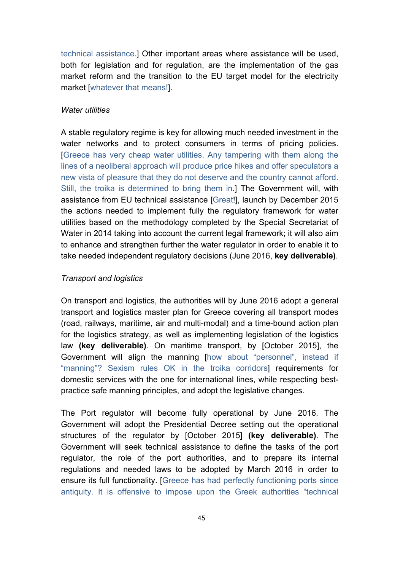technical assistance.] Other important areas where assistance will be used, both for legislation and for regulation, are the implementation of the gas market reform and the transition to the EU target model for the electricity market [whatever that means!].

#### *Water utilities*

A stable regulatory regime is key for allowing much needed investment in the water networks and to protect consumers in terms of pricing policies. [Greece has very cheap water utilities. Any tampering with them along the lines of a neoliberal approach will produce price hikes and offer speculators a new vista of pleasure that they do not deserve and the country cannot afford. Still, the troika is determined to bring them in.] The Government will, with assistance from EU technical assistance [Great!], launch by December 2015 the actions needed to implement fully the regulatory framework for water utilities based on the methodology completed by the Special Secretariat of Water in 2014 taking into account the current legal framework; it will also aim to enhance and strengthen further the water regulator in order to enable it to take needed independent regulatory decisions (June 2016, **key deliverable)**.

#### *Transport and logistics*

On transport and logistics, the authorities will by June 2016 adopt a general transport and logistics master plan for Greece covering all transport modes (road, railways, maritime, air and multi-modal) and a time-bound action plan for the logistics strategy, as well as implementing legislation of the logistics law **(key deliverable)**. On maritime transport, by [October 2015], the Government will align the manning [how about "personnel", instead if "manning"? Sexism rules OK in the troika corridors] requirements for domestic services with the one for international lines, while respecting bestpractice safe manning principles, and adopt the legislative changes.

The Port regulator will become fully operational by June 2016. The Government will adopt the Presidential Decree setting out the operational structures of the regulator by [October 2015] **(key deliverable)**. The Government will seek technical assistance to define the tasks of the port regulator, the role of the port authorities, and to prepare its internal regulations and needed laws to be adopted by March 2016 in order to ensure its full functionality. [Greece has had perfectly functioning ports since antiquity. It is offensive to impose upon the Greek authorities "technical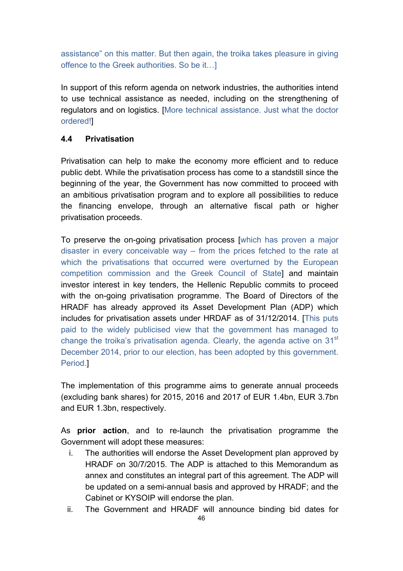assistance" on this matter. But then again, the troika takes pleasure in giving offence to the Greek authorities. So be it…]

In support of this reform agenda on network industries, the authorities intend to use technical assistance as needed, including on the strengthening of regulators and on logistics. [More technical assistance. Just what the doctor ordered!]

## **4.4 Privatisation**

Privatisation can help to make the economy more efficient and to reduce public debt. While the privatisation process has come to a standstill since the beginning of the year, the Government has now committed to proceed with an ambitious privatisation program and to explore all possibilities to reduce the financing envelope, through an alternative fiscal path or higher privatisation proceeds.

To preserve the on-going privatisation process [which has proven a major disaster in every conceivable way – from the prices fetched to the rate at which the privatisations that occurred were overturned by the European competition commission and the Greek Council of State] and maintain investor interest in key tenders, the Hellenic Republic commits to proceed with the on-going privatisation programme. The Board of Directors of the HRADF has already approved its Asset Development Plan (ADP) which includes for privatisation assets under HRDAF as of 31/12/2014. [This puts paid to the widely publicised view that the government has managed to change the troika's privatisation agenda. Clearly, the agenda active on 31<sup>st</sup> December 2014, prior to our election, has been adopted by this government. Period.]

The implementation of this programme aims to generate annual proceeds (excluding bank shares) for 2015, 2016 and 2017 of EUR 1.4bn, EUR 3.7bn and EUR 1.3bn, respectively.

As **prior action**, and to re-launch the privatisation programme the Government will adopt these measures:

- i. The authorities will endorse the Asset Development plan approved by HRADF on 30/7/2015. The ADP is attached to this Memorandum as annex and constitutes an integral part of this agreement. The ADP will be updated on a semi-annual basis and approved by HRADF; and the Cabinet or KYSOIP will endorse the plan.
- ii. The Government and HRADF will announce binding bid dates for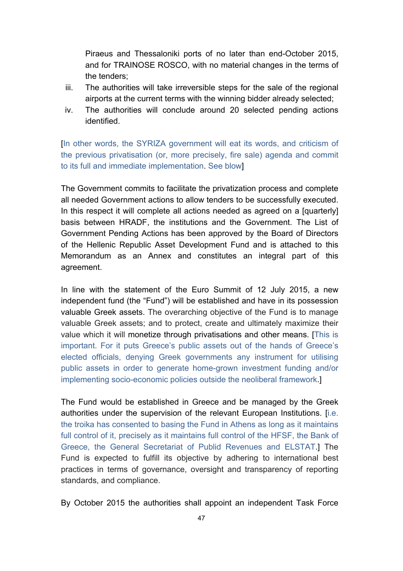Piraeus and Thessaloniki ports of no later than end-October 2015, and for TRAINOSE ROSCO, with no material changes in the terms of the tenders;

- iii. The authorities will take irreversible steps for the sale of the regional airports at the current terms with the winning bidder already selected;
- iv. The authorities will conclude around 20 selected pending actions identified.

[In other words, the SYRIZA government will eat its words, and criticism of the previous privatisation (or, more precisely, fire sale) agenda and commit to its full and immediate implementation. See blow]

The Government commits to facilitate the privatization process and complete all needed Government actions to allow tenders to be successfully executed. In this respect it will complete all actions needed as agreed on a [quarterly] basis between HRADF, the institutions and the Government. The List of Government Pending Actions has been approved by the Board of Directors of the Hellenic Republic Asset Development Fund and is attached to this Memorandum as an Annex and constitutes an integral part of this agreement.

In line with the statement of the Euro Summit of 12 July 2015, a new independent fund (the "Fund") will be established and have in its possession valuable Greek assets. The overarching objective of the Fund is to manage valuable Greek assets; and to protect, create and ultimately maximize their value which it will monetize through privatisations and other means. [This is important. For it puts Greece's public assets out of the hands of Greece's elected officials, denying Greek governments any instrument for utilising public assets in order to generate home-grown investment funding and/or implementing socio-economic policies outside the neoliberal framework.]

The Fund would be established in Greece and be managed by the Greek authorities under the supervision of the relevant European Institutions. [i.e. the troika has consented to basing the Fund in Athens as long as it maintains full control of it, precisely as it maintains full control of the HFSF, the Bank of Greece, the General Secretariat of Publid Revenues and ELSTAT.] The Fund is expected to fulfill its objective by adhering to international best practices in terms of governance, oversight and transparency of reporting standards, and compliance.

By October 2015 the authorities shall appoint an independent Task Force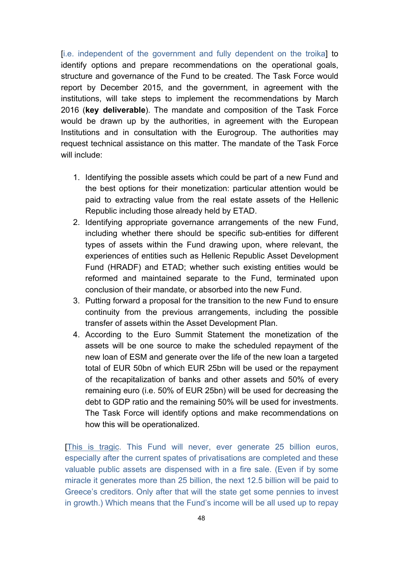[i.e. independent of the government and fully dependent on the troika] to identify options and prepare recommendations on the operational goals, structure and governance of the Fund to be created. The Task Force would report by December 2015, and the government, in agreement with the institutions, will take steps to implement the recommendations by March 2016 (**key deliverable**). The mandate and composition of the Task Force would be drawn up by the authorities, in agreement with the European Institutions and in consultation with the Eurogroup. The authorities may request technical assistance on this matter. The mandate of the Task Force will include:

- 1. Identifying the possible assets which could be part of a new Fund and the best options for their monetization: particular attention would be paid to extracting value from the real estate assets of the Hellenic Republic including those already held by ETAD.
- 2. Identifying appropriate governance arrangements of the new Fund, including whether there should be specific sub-entities for different types of assets within the Fund drawing upon, where relevant, the experiences of entities such as Hellenic Republic Asset Development Fund (HRADF) and ETAD; whether such existing entities would be reformed and maintained separate to the Fund, terminated upon conclusion of their mandate, or absorbed into the new Fund.
- 3. Putting forward a proposal for the transition to the new Fund to ensure continuity from the previous arrangements, including the possible transfer of assets within the Asset Development Plan.
- 4. According to the Euro Summit Statement the monetization of the assets will be one source to make the scheduled repayment of the new loan of ESM and generate over the life of the new loan a targeted total of EUR 50bn of which EUR 25bn will be used or the repayment of the recapitalization of banks and other assets and 50% of every remaining euro (i.e. 50% of EUR 25bn) will be used for decreasing the debt to GDP ratio and the remaining 50% will be used for investments. The Task Force will identify options and make recommendations on how this will be operationalized.

[This is tragic. This Fund will never, ever generate 25 billion euros, especially after the current spates of privatisations are completed and these valuable public assets are dispensed with in a fire sale. (Even if by some miracle it generates more than 25 billion, the next 12.5 billion will be paid to Greece's creditors. Only after that will the state get some pennies to invest in growth.) Which means that the Fund's income will be all used up to repay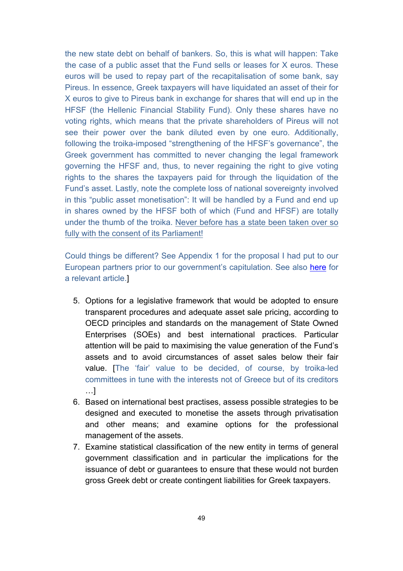the new state debt on behalf of bankers. So, this is what will happen: Take the case of a public asset that the Fund sells or leases for X euros. These euros will be used to repay part of the recapitalisation of some bank, say Pireus. In essence, Greek taxpayers will have liquidated an asset of their for X euros to give to Pireus bank in exchange for shares that will end up in the HFSF (the Hellenic Financial Stability Fund). Only these shares have no voting rights, which means that the private shareholders of Pireus will not see their power over the bank diluted even by one euro. Additionally, following the troika-imposed "strengthening of the HFSF's governance", the Greek government has committed to never changing the legal framework governing the HFSF and, thus, to never regaining the right to give voting rights to the shares the taxpayers paid for through the liquidation of the Fund's asset. Lastly, note the complete loss of national sovereignty involved in this "public asset monetisation": It will be handled by a Fund and end up in shares owned by the HFSF both of which (Fund and HFSF) are totally under the thumb of the troika. Never before has a state been taken over so fully with the consent of its Parliament!

Could things be different? See Appendix 1 for the proposal I had put to our European partners prior to our government's capitulation. See also here for a relevant article.]

- 5. Options for a legislative framework that would be adopted to ensure transparent procedures and adequate asset sale pricing, according to OECD principles and standards on the management of State Owned Enterprises (SOEs) and best international practices. Particular attention will be paid to maximising the value generation of the Fund's assets and to avoid circumstances of asset sales below their fair value. [The 'fair' value to be decided, of course, by troika-led committees in tune with the interests not of Greece but of its creditors …]
- 6. Based on international best practises, assess possible strategies to be designed and executed to monetise the assets through privatisation and other means; and examine options for the professional management of the assets.
- 7. Examine statistical classification of the new entity in terms of general government classification and in particular the implications for the issuance of debt or guarantees to ensure that these would not burden gross Greek debt or create contingent liabilities for Greek taxpayers.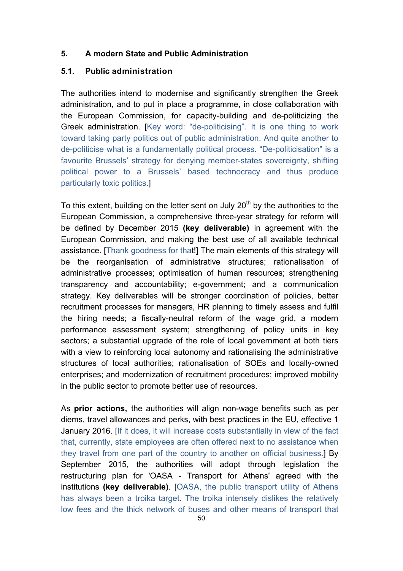## **5. A modern State and Public Administration**

## **5.1. Public administration**

The authorities intend to modernise and significantly strengthen the Greek administration, and to put in place a programme, in close collaboration with the European Commission, for capacity-building and de-politicizing the Greek administration. [Key word: "de-politicising". It is one thing to work toward taking party politics out of public administration. And quite another to de-politicise what is a fundamentally political process. "De-politicisation" is a favourite Brussels' strategy for denying member-states sovereignty, shifting political power to a Brussels' based technocracy and thus produce particularly toxic politics.]

To this extent, building on the letter sent on July  $20<sup>th</sup>$  by the authorities to the European Commission, a comprehensive three-year strategy for reform will be defined by December 2015 **(key deliverable)** in agreement with the European Commission, and making the best use of all available technical assistance. [Thank goodness for that!] The main elements of this strategy will be the reorganisation of administrative structures; rationalisation of administrative processes; optimisation of human resources; strengthening transparency and accountability; e-government; and a communication strategy. Key deliverables will be stronger coordination of policies, better recruitment processes for managers, HR planning to timely assess and fulfil the hiring needs; a fiscally-neutral reform of the wage grid, a modern performance assessment system; strengthening of policy units in key sectors; a substantial upgrade of the role of local government at both tiers with a view to reinforcing local autonomy and rationalising the administrative structures of local authorities; rationalisation of SOEs and locally-owned enterprises; and modernization of recruitment procedures; improved mobility in the public sector to promote better use of resources.

As **prior actions,** the authorities will align non-wage benefits such as per diems, travel allowances and perks, with best practices in the EU, effective 1 January 2016. [If it does, it will increase costs substantially in view of the fact that, currently, state employees are often offered next to no assistance when they travel from one part of the country to another on official business.] By September 2015, the authorities will adopt through legislation the restructuring plan for 'OASA - Transport for Athens' agreed with the institutions **(key deliverable)**. [OASA, the public transport utility of Athens has always been a troika target. The troika intensely dislikes the relatively low fees and the thick network of buses and other means of transport that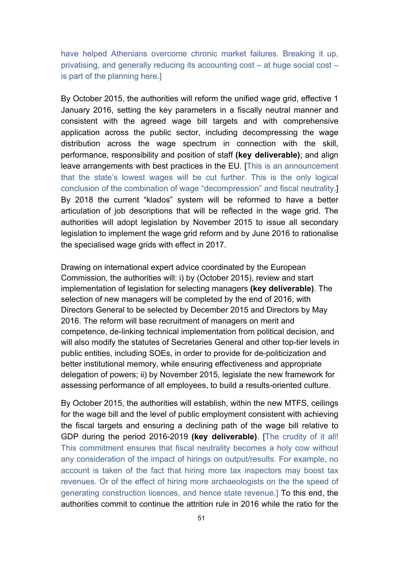have helped Athenians overcome chronic market failures. Breaking it up, privatising, and generally reducing its accounting cost – at huge social cost – is part of the planning here.]

By October 2015, the authorities will reform the unified wage grid, effective 1 January 2016, setting the key parameters in a fiscally neutral manner and consistent with the agreed wage bill targets and with comprehensive application across the public sector, including decompressing the wage distribution across the wage spectrum in connection with the skill, performance, responsibility and position of staff **(key deliverable)**; and align leave arrangements with best practices in the EU. [This is an announcement that the state's lowest wages will be cut further. This is the only logical conclusion of the combination of wage "decompression" and fiscal neutrality.] By 2018 the current "klados" system will be reformed to have a better articulation of job descriptions that will be reflected in the wage grid. The authorities will adopt legislation by November 2015 to issue all secondary legislation to implement the wage grid reform and by June 2016 to rationalise the specialised wage grids with effect in 2017.

Drawing on international expert advice coordinated by the European Commission, the authorities will: i) by (October 2015), review and start implementation of legislation for selecting managers **(key deliverable)**. The selection of new managers will be completed by the end of 2016, with Directors General to be selected by December 2015 and Directors by May 2016. The reform will base recruitment of managers on merit and competence, de-linking technical implementation from political decision, and will also modify the statutes of Secretaries General and other top-tier levels in public entities, including SOEs, in order to provide for de-politicization and better institutional memory, while ensuring effectiveness and appropriate delegation of powers; ii) by November 2015, legislate the new framework for assessing performance of all employees, to build a results-oriented culture.

By October 2015, the authorities will establish, within the new MTFS, ceilings for the wage bill and the level of public employment consistent with achieving the fiscal targets and ensuring a declining path of the wage bill relative to GDP during the period 2016-2019 **(key deliverable)**. [The crudity of it all! This commitment ensures that fiscal neutrality becomes a holy cow without any consideration of the impact of hirings on output/results. For example, no account is taken of the fact that hiring more tax inspectors may boost tax revenues. Or of the effect of hiring more archaeologists on the the speed of generating construction licences, and hence state revenue.] To this end, the authorities commit to continue the attrition rule in 2016 while the ratio for the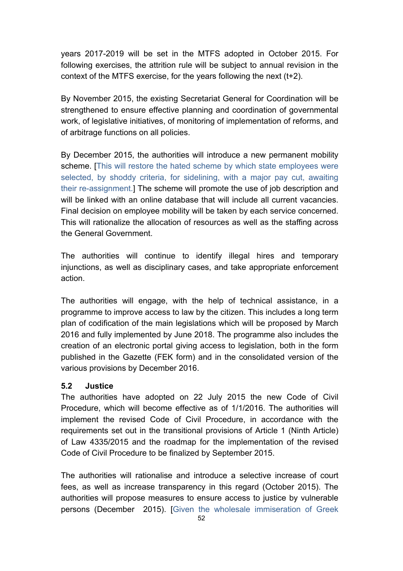years 2017-2019 will be set in the MTFS adopted in October 2015. For following exercises, the attrition rule will be subject to annual revision in the context of the MTFS exercise, for the years following the next (t+2).

By November 2015, the existing Secretariat General for Coordination will be strengthened to ensure effective planning and coordination of governmental work, of legislative initiatives, of monitoring of implementation of reforms, and of arbitrage functions on all policies.

By December 2015, the authorities will introduce a new permanent mobility scheme. [This will restore the hated scheme by which state employees were selected, by shoddy criteria, for sidelining, with a major pay cut, awaiting their re-assignment.] The scheme will promote the use of job description and will be linked with an online database that will include all current vacancies. Final decision on employee mobility will be taken by each service concerned. This will rationalize the allocation of resources as well as the staffing across the General Government.

The authorities will continue to identify illegal hires and temporary injunctions, as well as disciplinary cases, and take appropriate enforcement action.

The authorities will engage, with the help of technical assistance, in a programme to improve access to law by the citizen. This includes a long term plan of codification of the main legislations which will be proposed by March 2016 and fully implemented by June 2018. The programme also includes the creation of an electronic portal giving access to legislation, both in the form published in the Gazette (FEK form) and in the consolidated version of the various provisions by December 2016.

## **5.2 Justice**

The authorities have adopted on 22 July 2015 the new Code of Civil Procedure, which will become effective as of 1/1/2016. The authorities will implement the revised Code of Civil Procedure, in accordance with the requirements set out in the transitional provisions of Article 1 (Ninth Article) of Law 4335/2015 and the roadmap for the implementation of the revised Code of Civil Procedure to be finalized by September 2015.

The authorities will rationalise and introduce a selective increase of court fees, as well as increase transparency in this regard (October 2015). The authorities will propose measures to ensure access to justice by vulnerable persons (December 2015). [Given the wholesale immiseration of Greek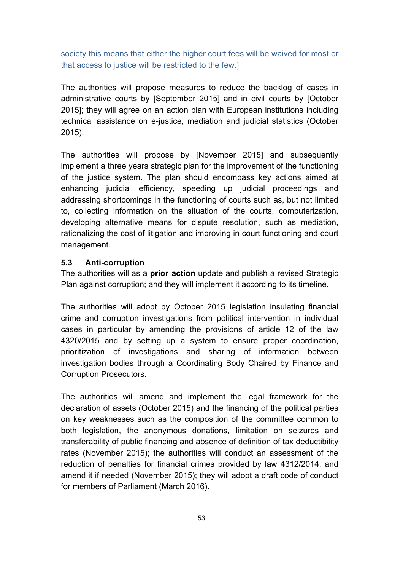society this means that either the higher court fees will be waived for most or that access to justice will be restricted to the few.]

The authorities will propose measures to reduce the backlog of cases in administrative courts by [September 2015] and in civil courts by [October 2015]; they will agree on an action plan with European institutions including technical assistance on e-justice, mediation and judicial statistics (October 2015).

The authorities will propose by [November 2015] and subsequently implement a three years strategic plan for the improvement of the functioning of the justice system. The plan should encompass key actions aimed at enhancing judicial efficiency, speeding up judicial proceedings and addressing shortcomings in the functioning of courts such as, but not limited to, collecting information on the situation of the courts, computerization, developing alternative means for dispute resolution, such as mediation, rationalizing the cost of litigation and improving in court functioning and court management.

#### **5.3 Anti-corruption**

The authorities will as a **prior action** update and publish a revised Strategic Plan against corruption; and they will implement it according to its timeline.

The authorities will adopt by October 2015 legislation insulating financial crime and corruption investigations from political intervention in individual cases in particular by amending the provisions of article 12 of the law 4320/2015 and by setting up a system to ensure proper coordination, prioritization of investigations and sharing of information between investigation bodies through a Coordinating Body Chaired by Finance and Corruption Prosecutors.

The authorities will amend and implement the legal framework for the declaration of assets (October 2015) and the financing of the political parties on key weaknesses such as the composition of the committee common to both legislation, the anonymous donations, limitation on seizures and transferability of public financing and absence of definition of tax deductibility rates (November 2015); the authorities will conduct an assessment of the reduction of penalties for financial crimes provided by law 4312/2014, and amend it if needed (November 2015); they will adopt a draft code of conduct for members of Parliament (March 2016).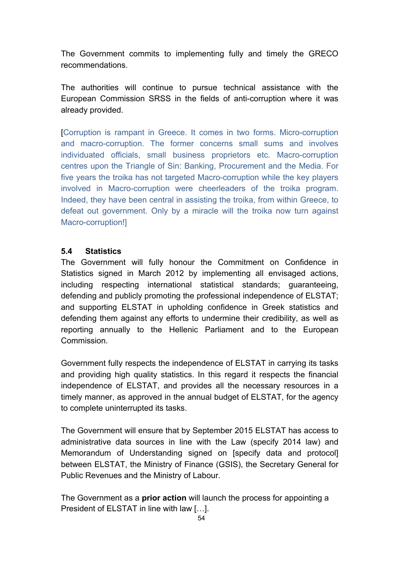The Government commits to implementing fully and timely the GRECO recommendations.

The authorities will continue to pursue technical assistance with the European Commission SRSS in the fields of anti-corruption where it was already provided.

[Corruption is rampant in Greece. It comes in two forms. Micro-corruption and macro-corruption. The former concerns small sums and involves individuated officials, small business proprietors etc. Macro-corruption centres upon the Triangle of Sin: Banking, Procurement and the Media. For five years the troika has not targeted Macro-corruption while the key players involved in Macro-corruption were cheerleaders of the troika program. Indeed, they have been central in assisting the troika, from within Greece, to defeat out government. Only by a miracle will the troika now turn against Macro-corruption!]

## **5.4 Statistics**

The Government will fully honour the Commitment on Confidence in Statistics signed in March 2012 by implementing all envisaged actions, including respecting international statistical standards; guaranteeing, defending and publicly promoting the professional independence of ELSTAT; and supporting ELSTAT in upholding confidence in Greek statistics and defending them against any efforts to undermine their credibility, as well as reporting annually to the Hellenic Parliament and to the European **Commission** 

Government fully respects the independence of ELSTAT in carrying its tasks and providing high quality statistics. In this regard it respects the financial independence of ELSTAT, and provides all the necessary resources in a timely manner, as approved in the annual budget of ELSTAT, for the agency to complete uninterrupted its tasks.

The Government will ensure that by September 2015 ELSTAT has access to administrative data sources in line with the Law (specify 2014 law) and Memorandum of Understanding signed on [specify data and protocol] between ELSTAT, the Ministry of Finance (GSIS), the Secretary General for Public Revenues and the Ministry of Labour.

The Government as a **prior action** will launch the process for appointing a President of ELSTAT in line with law […].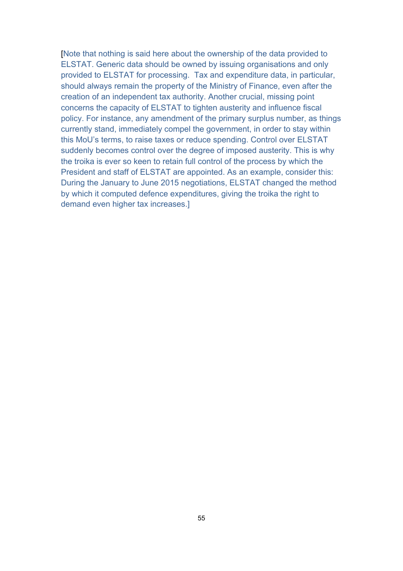[Note that nothing is said here about the ownership of the data provided to ELSTAT. Generic data should be owned by issuing organisations and only provided to ELSTAT for processing. Tax and expenditure data, in particular, should always remain the property of the Ministry of Finance, even after the creation of an independent tax authority. Another crucial, missing point concerns the capacity of ELSTAT to tighten austerity and influence fiscal policy. For instance, any amendment of the primary surplus number, as things currently stand, immediately compel the government, in order to stay within this MoU's terms, to raise taxes or reduce spending. Control over ELSTAT suddenly becomes control over the degree of imposed austerity. This is why the troika is ever so keen to retain full control of the process by which the President and staff of ELSTAT are appointed. As an example, consider this: During the January to June 2015 negotiations, ELSTAT changed the method by which it computed defence expenditures, giving the troika the right to demand even higher tax increases.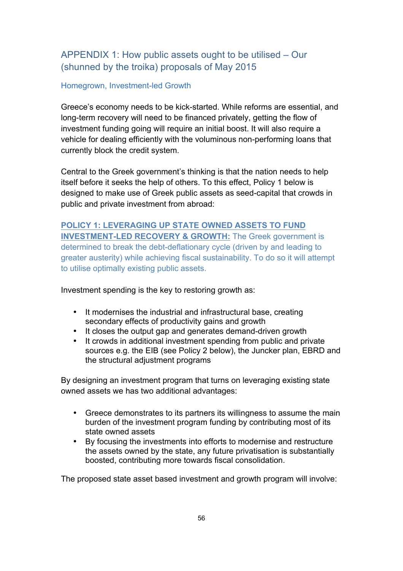# APPENDIX 1: How public assets ought to be utilised – Our (shunned by the troika) proposals of May 2015

#### Homegrown, Investment-led Growth

Greece's economy needs to be kick-started. While reforms are essential, and long-term recovery will need to be financed privately, getting the flow of investment funding going will require an initial boost. It will also require a vehicle for dealing efficiently with the voluminous non-performing loans that currently block the credit system.

Central to the Greek government's thinking is that the nation needs to help itself before it seeks the help of others. To this effect, Policy 1 below is designed to make use of Greek public assets as seed-capital that crowds in public and private investment from abroad:

**POLICY 1: LEVERAGING UP STATE OWNED ASSETS TO FUND INVESTMENT-LED RECOVERY & GROWTH:** The Greek government is determined to break the debt-deflationary cycle (driven by and leading to greater austerity) while achieving fiscal sustainability. To do so it will attempt to utilise optimally existing public assets.

Investment spending is the key to restoring growth as:

- It modernises the industrial and infrastructural base, creating secondary effects of productivity gains and growth
- It closes the output gap and generates demand-driven growth<br>• It crowds in additional investment spending from public and pri
- It crowds in additional investment spending from public and private sources e.g. the EIB (see Policy 2 below), the Juncker plan, EBRD and the structural adjustment programs

By designing an investment program that turns on leveraging existing state owned assets we has two additional advantages:

- Greece demonstrates to its partners its willingness to assume the main burden of the investment program funding by contributing most of its state owned assets
- By focusing the investments into efforts to modernise and restructure the assets owned by the state, any future privatisation is substantially boosted, contributing more towards fiscal consolidation.

The proposed state asset based investment and growth program will involve: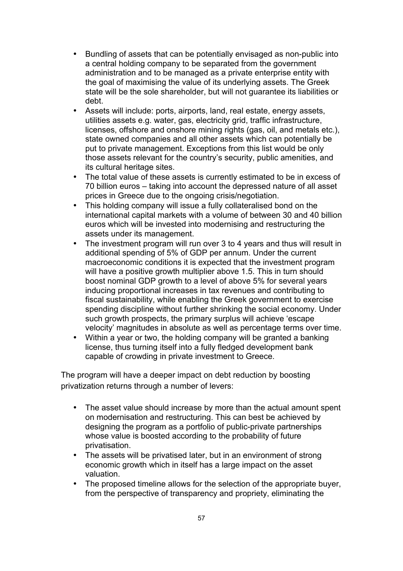- Bundling of assets that can be potentially envisaged as non-public into a central holding company to be separated from the government administration and to be managed as a private enterprise entity with the goal of maximising the value of its underlying assets. The Greek state will be the sole shareholder, but will not guarantee its liabilities or debt.
- Assets will include: ports, airports, land, real estate, energy assets, utilities assets e.g. water, gas, electricity grid, traffic infrastructure, licenses, offshore and onshore mining rights (gas, oil, and metals etc.), state owned companies and all other assets which can potentially be put to private management. Exceptions from this list would be only those assets relevant for the country's security, public amenities, and its cultural heritage sites.
- The total value of these assets is currently estimated to be in excess of 70 billion euros – taking into account the depressed nature of all asset prices in Greece due to the ongoing crisis/negotiation.
- This holding company will issue a fully collateralised bond on the international capital markets with a volume of between 30 and 40 billion euros which will be invested into modernising and restructuring the assets under its management.
- The investment program will run over 3 to 4 years and thus will result in additional spending of 5% of GDP per annum. Under the current macroeconomic conditions it is expected that the investment program will have a positive growth multiplier above 1.5. This in turn should boost nominal GDP growth to a level of above 5% for several years inducing proportional increases in tax revenues and contributing to fiscal sustainability, while enabling the Greek government to exercise spending discipline without further shrinking the social economy. Under such growth prospects, the primary surplus will achieve 'escape velocity' magnitudes in absolute as well as percentage terms over time.
- Within a year or two, the holding company will be granted a banking license, thus turning itself into a fully fledged development bank capable of crowding in private investment to Greece.

The program will have a deeper impact on debt reduction by boosting privatization returns through a number of levers:

- The asset value should increase by more than the actual amount spent on modernisation and restructuring. This can best be achieved by designing the program as a portfolio of public-private partnerships whose value is boosted according to the probability of future privatisation.
- The assets will be privatised later, but in an environment of strong economic growth which in itself has a large impact on the asset valuation.
- The proposed timeline allows for the selection of the appropriate buyer, from the perspective of transparency and propriety, eliminating the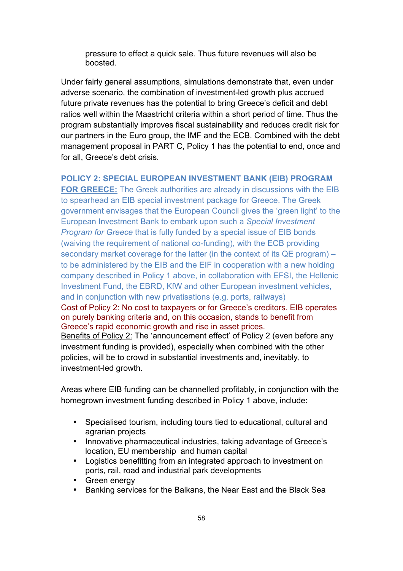pressure to effect a quick sale. Thus future revenues will also be boosted.

Under fairly general assumptions, simulations demonstrate that, even under adverse scenario, the combination of investment-led growth plus accrued future private revenues has the potential to bring Greece's deficit and debt ratios well within the Maastricht criteria within a short period of time. Thus the program substantially improves fiscal sustainability and reduces credit risk for our partners in the Euro group, the IMF and the ECB. Combined with the debt management proposal in PART C, Policy 1 has the potential to end, once and for all, Greece's debt crisis.

#### **POLICY 2: SPECIAL EUROPEAN INVESTMENT BANK (EIB) PROGRAM**

**FOR GREECE:** The Greek authorities are already in discussions with the EIB to spearhead an EIB special investment package for Greece. The Greek government envisages that the European Council gives the 'green light' to the European Investment Bank to embark upon such a *Special Investment Program for Greece* that is fully funded by a special issue of EIB bonds (waiving the requirement of national co-funding), with the ECB providing secondary market coverage for the latter (in the context of its QE program) – to be administered by the EIB and the EIF in cooperation with a new holding company described in Policy 1 above, in collaboration with EFSI, the Hellenic Investment Fund, the EBRD, KfW and other European investment vehicles, and in conjunction with new privatisations (e.g. ports, railways) Cost of Policy 2: No cost to taxpayers or for Greece's creditors. EIB operates on purely banking criteria and, on this occasion, stands to benefit from Greece's rapid economic growth and rise in asset prices.

Benefits of Policy 2: The 'announcement effect' of Policy 2 (even before any investment funding is provided), especially when combined with the other policies, will be to crowd in substantial investments and, inevitably, to investment-led growth.

Areas where EIB funding can be channelled profitably, in conjunction with the homegrown investment funding described in Policy 1 above, include:

- Specialised tourism, including tours tied to educational, cultural and agrarian projects
- Innovative pharmaceutical industries, taking advantage of Greece's location, EU membership and human capital
- Logistics benefitting from an integrated approach to investment on ports, rail, road and industrial park developments
- Green energy
- Banking services for the Balkans, the Near East and the Black Sea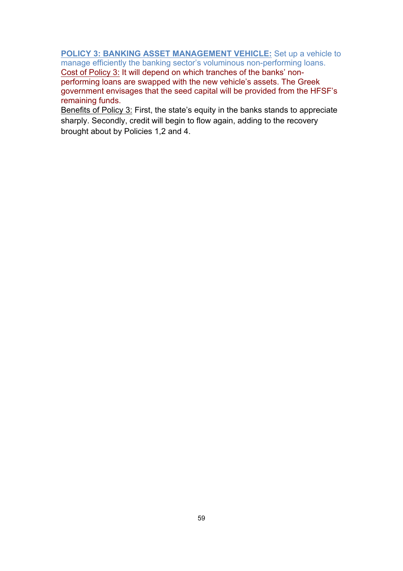**POLICY 3: BANKING ASSET MANAGEMENT VEHICLE:** Set up a vehicle to manage efficiently the banking sector's voluminous non-performing loans.

Cost of Policy 3: It will depend on which tranches of the banks' nonperforming loans are swapped with the new vehicle's assets. The Greek government envisages that the seed capital will be provided from the HFSF's remaining funds.

Benefits of Policy 3: First, the state's equity in the banks stands to appreciate sharply. Secondly, credit will begin to flow again, adding to the recovery brought about by Policies 1,2 and 4.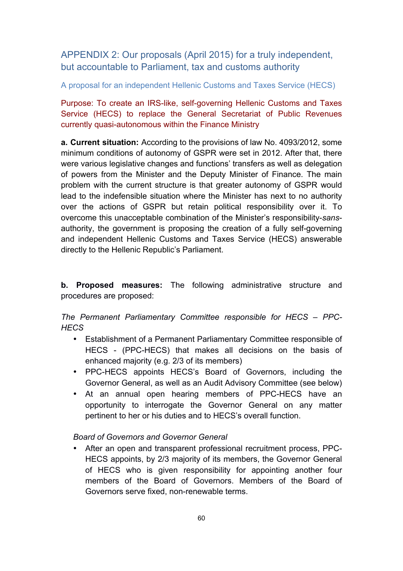APPENDIX 2: Our proposals (April 2015) for a truly independent, but accountable to Parliament, tax and customs authority

A proposal for an independent Hellenic Customs and Taxes Service (HECS)

Purpose: To create an IRS-like, self-governing Hellenic Customs and Taxes Service (HECS) to replace the General Secretariat of Public Revenues currently quasi-autonomous within the Finance Ministry

**a. Current situation:** According to the provisions of law No. 4093/2012, some minimum conditions of autonomy of GSPR were set in 2012. After that, there were various legislative changes and functions' transfers as well as delegation of powers from the Minister and the Deputy Minister of Finance. The main problem with the current structure is that greater autonomy of GSPR would lead to the indefensible situation where the Minister has next to no authority over the actions of GSPR but retain political responsibility over it. To overcome this unacceptable combination of the Minister's responsibility-*sans*authority, the government is proposing the creation of a fully self-governing and independent Hellenic Customs and Taxes Service (HECS) answerable directly to the Hellenic Republic's Parliament.

**b. Proposed measures:** The following administrative structure and procedures are proposed:

## *The Permanent Parliamentary Committee responsible for HECS – PPC-HECS*

- Establishment of a Permanent Parliamentary Committee responsible of HECS - (PPC-HECS) that makes all decisions on the basis of enhanced majority (e.g. 2/3 of its members)
- PPC-HECS appoints HECS's Board of Governors, including the Governor General, as well as an Audit Advisory Committee (see below)
- At an annual open hearing members of PPC-HECS have an opportunity to interrogate the Governor General on any matter pertinent to her or his duties and to HECS's overall function.

*Board of Governors and Governor General* 

• After an open and transparent professional recruitment process, PPC-HECS appoints, by 2/3 majority of its members, the Governor General of HECS who is given responsibility for appointing another four members of the Board of Governors. Members of the Board of Governors serve fixed, non-renewable terms.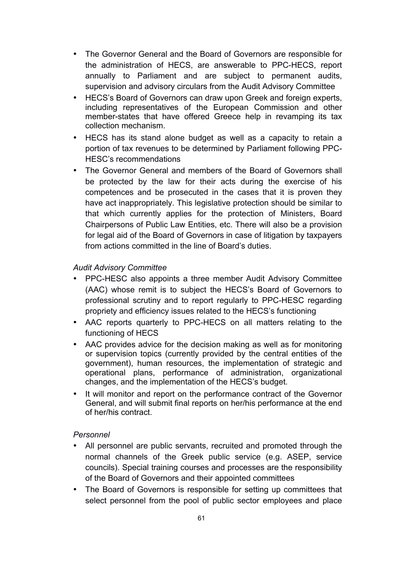- The Governor General and the Board of Governors are responsible for the administration of HECS, are answerable to PPC-HECS, report annually to Parliament and are subject to permanent audits, supervision and advisory circulars from the Audit Advisory Committee
- HECS's Board of Governors can draw upon Greek and foreign experts, including representatives of the European Commission and other member-states that have offered Greece help in revamping its tax collection mechanism.
- HECS has its stand alone budget as well as a capacity to retain a portion of tax revenues to be determined by Parliament following PPC-HESC's recommendations
- The Governor General and members of the Board of Governors shall be protected by the law for their acts during the exercise of his competences and be prosecuted in the cases that it is proven they have act inappropriately. This legislative protection should be similar to that which currently applies for the protection of Ministers, Board Chairpersons of Public Law Entities, etc. There will also be a provision for legal aid of the Board of Governors in case of litigation by taxpayers from actions committed in the line of Board's duties.

### *Audit Advisory Committee*

- PPC-HESC also appoints a three member Audit Advisory Committee (AAC) whose remit is to subject the HECS's Board of Governors to professional scrutiny and to report regularly to PPC-HESC regarding propriety and efficiency issues related to the HECS's functioning
- AAC reports quarterly to PPC-HECS on all matters relating to the functioning of HECS
- AAC provides advice for the decision making as well as for monitoring or supervision topics (currently provided by the central entities of the government), human resources, the implementation of strategic and operational plans, performance of administration, organizational changes, and the implementation of the HECS's budget.
- It will monitor and report on the performance contract of the Governor General, and will submit final reports on her/his performance at the end of her/his contract.

#### *Personnel*

- All personnel are public servants, recruited and promoted through the normal channels of the Greek public service (e.g. ASEP, service councils). Special training courses and processes are the responsibility of the Board of Governors and their appointed committees
- The Board of Governors is responsible for setting up committees that select personnel from the pool of public sector employees and place